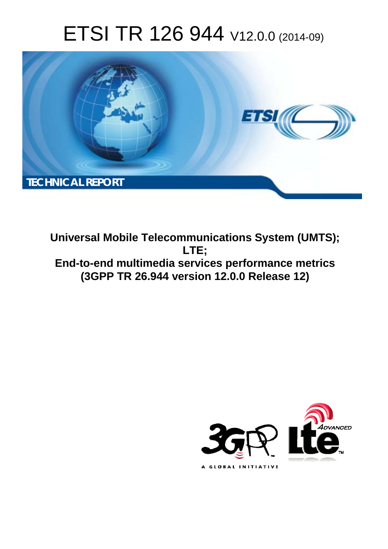# ETSI TR 126 944 V12.0.0 (2014-09)



**Universal Mobile Telecommunications System (UMTS); LTE; End-to-end multimedia services performance metrics (3GPP TR 26.944 version 12.0.0 Release 12)** 

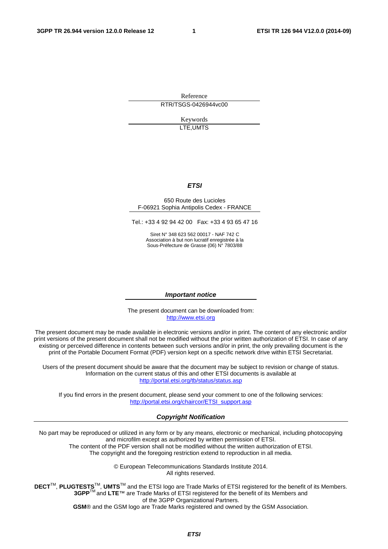Reference RTR/TSGS-0426944vc00

> Keywords LTE,UMTS

### *ETSI*

#### 650 Route des Lucioles F-06921 Sophia Antipolis Cedex - FRANCE

Tel.: +33 4 92 94 42 00 Fax: +33 4 93 65 47 16

Siret N° 348 623 562 00017 - NAF 742 C Association à but non lucratif enregistrée à la Sous-Préfecture de Grasse (06) N° 7803/88

#### *Important notice*

The present document can be downloaded from: [http://www.etsi.org](http://www.etsi.org/)

The present document may be made available in electronic versions and/or in print. The content of any electronic and/or print versions of the present document shall not be modified without the prior written authorization of ETSI. In case of any existing or perceived difference in contents between such versions and/or in print, the only prevailing document is the print of the Portable Document Format (PDF) version kept on a specific network drive within ETSI Secretariat.

Users of the present document should be aware that the document may be subject to revision or change of status. Information on the current status of this and other ETSI documents is available at <http://portal.etsi.org/tb/status/status.asp>

If you find errors in the present document, please send your comment to one of the following services: [http://portal.etsi.org/chaircor/ETSI\\_support.asp](http://portal.etsi.org/chaircor/ETSI_support.asp)

### *Copyright Notification*

No part may be reproduced or utilized in any form or by any means, electronic or mechanical, including photocopying and microfilm except as authorized by written permission of ETSI.

The content of the PDF version shall not be modified without the written authorization of ETSI. The copyright and the foregoing restriction extend to reproduction in all media.

> © European Telecommunications Standards Institute 2014. All rights reserved.

**DECT**TM, **PLUGTESTS**TM, **UMTS**TM and the ETSI logo are Trade Marks of ETSI registered for the benefit of its Members. **3GPP**TM and **LTE**™ are Trade Marks of ETSI registered for the benefit of its Members and of the 3GPP Organizational Partners.

**GSM**® and the GSM logo are Trade Marks registered and owned by the GSM Association.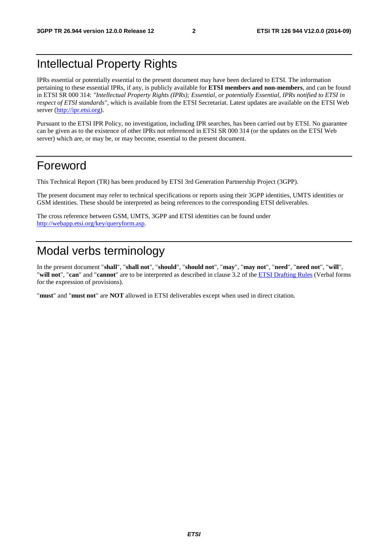# Intellectual Property Rights

IPRs essential or potentially essential to the present document may have been declared to ETSI. The information pertaining to these essential IPRs, if any, is publicly available for **ETSI members and non-members**, and can be found in ETSI SR 000 314: *"Intellectual Property Rights (IPRs); Essential, or potentially Essential, IPRs notified to ETSI in respect of ETSI standards"*, which is available from the ETSI Secretariat. Latest updates are available on the ETSI Web server [\(http://ipr.etsi.org\)](http://webapp.etsi.org/IPR/home.asp).

Pursuant to the ETSI IPR Policy, no investigation, including IPR searches, has been carried out by ETSI. No guarantee can be given as to the existence of other IPRs not referenced in ETSI SR 000 314 (or the updates on the ETSI Web server) which are, or may be, or may become, essential to the present document.

# Foreword

This Technical Report (TR) has been produced by ETSI 3rd Generation Partnership Project (3GPP).

The present document may refer to technical specifications or reports using their 3GPP identities, UMTS identities or GSM identities. These should be interpreted as being references to the corresponding ETSI deliverables.

The cross reference between GSM, UMTS, 3GPP and ETSI identities can be found under [http://webapp.etsi.org/key/queryform.asp.](http://webapp.etsi.org/key/queryform.asp)

# Modal verbs terminology

In the present document "**shall**", "**shall not**", "**should**", "**should not**", "**may**", "**may not**", "**need**", "**need not**", "**will**", "**will not**", "**can**" and "**cannot**" are to be interpreted as described in clause 3.2 of the [ETSI Drafting Rules](http://portal.etsi.org/Help/editHelp!/Howtostart/ETSIDraftingRules.aspx) (Verbal forms for the expression of provisions).

"**must**" and "**must not**" are **NOT** allowed in ETSI deliverables except when used in direct citation.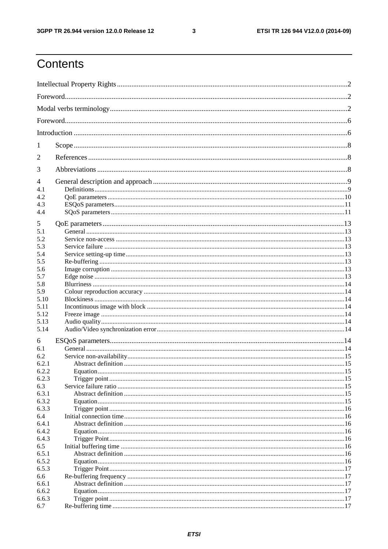$\mathbf{3}$ 

# Contents

| 1     |  |  |  |
|-------|--|--|--|
| 2     |  |  |  |
| 3     |  |  |  |
| 4     |  |  |  |
| 4.1   |  |  |  |
| 4.2   |  |  |  |
| 4.3   |  |  |  |
| 4.4   |  |  |  |
|       |  |  |  |
| 5     |  |  |  |
| 5.1   |  |  |  |
| 5.2   |  |  |  |
| 5.3   |  |  |  |
| 5.4   |  |  |  |
| 5.5   |  |  |  |
| 5.6   |  |  |  |
| 5.7   |  |  |  |
|       |  |  |  |
| 5.8   |  |  |  |
| 5.9   |  |  |  |
| 5.10  |  |  |  |
| 5.11  |  |  |  |
| 5.12  |  |  |  |
| 5.13  |  |  |  |
| 5.14  |  |  |  |
| 6     |  |  |  |
| 6.1   |  |  |  |
| 6.2   |  |  |  |
| 6.2.1 |  |  |  |
| 6.2.2 |  |  |  |
| 6.2.3 |  |  |  |
| 6.3   |  |  |  |
| 6.3.1 |  |  |  |
| 6.3.2 |  |  |  |
| 6.3.3 |  |  |  |
| 6.4   |  |  |  |
| 6.4.1 |  |  |  |
|       |  |  |  |
| 6.4.2 |  |  |  |
| 6.4.3 |  |  |  |
| 6.5   |  |  |  |
| 6.5.1 |  |  |  |
| 6.5.2 |  |  |  |
| 6.5.3 |  |  |  |
| 6.6   |  |  |  |
| 6.6.1 |  |  |  |
| 6.6.2 |  |  |  |
| 6.6.3 |  |  |  |
| 6.7   |  |  |  |
|       |  |  |  |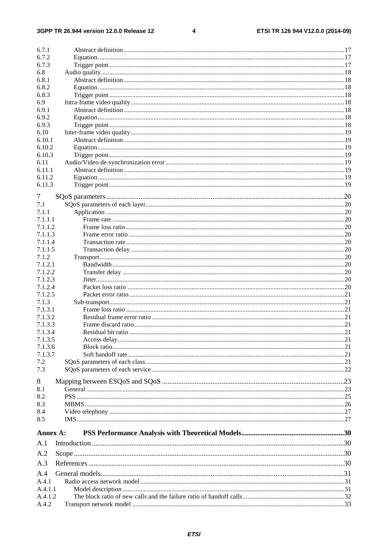#### $\overline{\mathbf{4}}$

| 6.7.1    |  |
|----------|--|
| 6.7.2    |  |
| 6.7.3    |  |
| 6.8      |  |
| 6.8.1    |  |
| 6.8.2    |  |
| 6.8.3    |  |
| 6.9      |  |
| 6.9.1    |  |
| 6.9.2    |  |
|          |  |
| 6.9.3    |  |
| 6.10     |  |
| 6.10.1   |  |
| 6.10.2   |  |
| 6.10.3   |  |
| 6.11     |  |
| 6.11.1   |  |
| 6.11.2   |  |
| 6.11.3   |  |
|          |  |
| 7        |  |
| 7.1      |  |
| 7.1.1    |  |
| 7.1.1.1  |  |
| 7.1.1.2  |  |
| 7.1.1.3  |  |
| 7.1.1.4  |  |
| 7.1.1.5  |  |
| 7.1.2    |  |
| 7.1.2.1  |  |
| 7.1.2.2  |  |
| 7.1.2.3  |  |
|          |  |
| 7.1.2.4  |  |
| 7.1.2.5  |  |
| 7.1.3    |  |
| 7.1.3.1  |  |
| 7.1.3.2  |  |
| 7.1.3.3  |  |
| 7.1.3.4  |  |
| 7.1.3.5  |  |
| 7.1.3.6  |  |
| 7.1.3.7  |  |
| 7.2      |  |
| 7.3      |  |
|          |  |
| 8        |  |
| 8.1      |  |
| 8.2      |  |
| 8.3      |  |
| 8.4      |  |
| 8.5      |  |
|          |  |
| Annex A: |  |
|          |  |
| A.1      |  |
| A.2      |  |
| A.3      |  |
|          |  |
| A.4      |  |
| A.4.1    |  |
| A.4.1.1  |  |
|          |  |
| A.4.1.2  |  |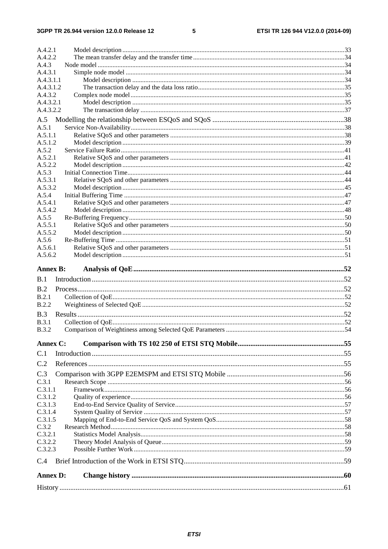### $5\phantom{a}$

| A.4.2.1             |  |
|---------------------|--|
| A.4.2.2             |  |
| A.4.3               |  |
| A.4.3.1             |  |
| A.4.3.1.1           |  |
| A.4.3.1.2           |  |
| A.4.3.2             |  |
| A.4.3.2.1           |  |
| A.4.3.2.2           |  |
| A.5                 |  |
| A.5.1               |  |
| A.5.1.1             |  |
| A.5.1.2             |  |
| A.5.2               |  |
| A.5.2.1             |  |
| A.5.2.2             |  |
| A.5.3               |  |
| A.5.3.1             |  |
| A.5.3.2             |  |
| A.5.4               |  |
| A.5.4.1             |  |
| A.5.4.2             |  |
| A.5.5               |  |
| A.5.5.1             |  |
| A.5.5.2             |  |
| A.5.6               |  |
| A.5.6.1             |  |
| A.5.6.2             |  |
| <b>Annex B:</b>     |  |
| B.1                 |  |
| B.2                 |  |
| B.2.1               |  |
| <b>B.2.2</b>        |  |
|                     |  |
| B.3<br><b>B.3.1</b> |  |
| <b>B.3.2</b>        |  |
|                     |  |
| Annex C:            |  |
| C.1                 |  |
| C.2                 |  |
| C.3                 |  |
| C.3.1               |  |
| C.3.1.1             |  |
| C.3.1.2             |  |
| C.3.1.3             |  |
| C.3.1.4             |  |
| C.3.1.5             |  |
| C.3.2               |  |
| C.3.2.1             |  |
| C.3.2.2             |  |
| C.3.2.3             |  |
| C.4                 |  |
| <b>Annex D:</b>     |  |
|                     |  |
|                     |  |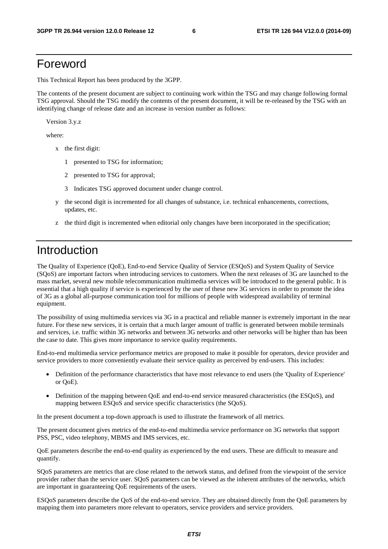# Foreword

This Technical Report has been produced by the 3GPP.

The contents of the present document are subject to continuing work within the TSG and may change following formal TSG approval. Should the TSG modify the contents of the present document, it will be re-released by the TSG with an identifying change of release date and an increase in version number as follows:

Version 3.y.z

where:

- x the first digit:
	- 1 presented to TSG for information;
	- 2 presented to TSG for approval;
	- 3 Indicates TSG approved document under change control.
- y the second digit is incremented for all changes of substance, i.e. technical enhancements, corrections, updates, etc.
- z the third digit is incremented when editorial only changes have been incorporated in the specification;

# Introduction

The Quality of Experience (QoE), End-to-end Service Quality of Service (ESQoS) and System Quality of Service (SQoS) are important factors when introducing services to customers. When the next releases of 3G are launched to the mass market, several new mobile telecommunication multimedia services will be introduced to the general public. It is essential that a high quality if service is experienced by the user of these new 3G services in order to promote the idea of 3G as a global all-purpose communication tool for millions of people with widespread availability of terminal equipment.

The possibility of using multimedia services via 3G in a practical and reliable manner is extremely important in the near future. For these new services, it is certain that a much larger amount of traffic is generated between mobile terminals and services, i.e. traffic within 3G networks and between 3G networks and other networks will be higher than has been the case to date. This gives more importance to service quality requirements.

End-to-end multimedia service performance metrics are proposed to make it possible for operators, device provider and service providers to more conveniently evaluate their service quality as perceived by end-users. This includes:

- Definition of the performance characteristics that have most relevance to end users (the 'Quality of Experience' or QoE).
- Definition of the mapping between QoE and end-to-end service measured characteristics (the ESQoS), and mapping between ESQoS and service specific characteristics (the SQoS).

In the present document a top-down approach is used to illustrate the framework of all metrics.

The present document gives metrics of the end-to-end multimedia service performance on 3G networks that support PSS, PSC, video telephony, MBMS and IMS services, etc.

QoE parameters describe the end-to-end quality as experienced by the end users. These are difficult to measure and quantify.

SQoS parameters are metrics that are close related to the network status, and defined from the viewpoint of the service provider rather than the service user. SQoS parameters can be viewed as the inherent attributes of the networks, which are important in guaranteeing QoE requirements of the users.

ESQoS parameters describe the QoS of the end-to-end service. They are obtained directly from the QoE parameters by mapping them into parameters more relevant to operators, service providers and service providers.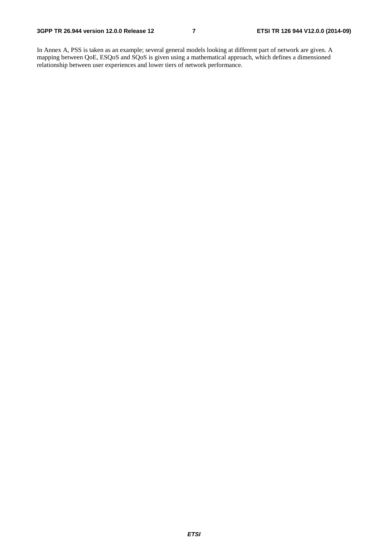In Annex A, PSS is taken as an example; several general models looking at different part of network are given. A mapping between QoE, ESQoS and SQoS is given using a mathematical approach, which defines a dimensioned relationship between user experiences and lower tiers of network performance.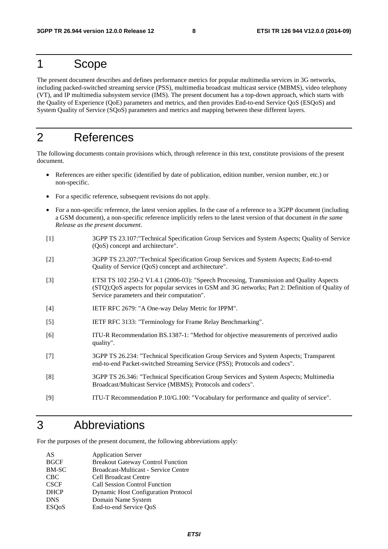# 1 Scope

The present document describes and defines performance metrics for popular multimedia services in 3G networks, including packed-switched streaming service (PSS), multimedia broadcast multicast service (MBMS), video telephony (VT), and IP multimedia subsystem service (IMS). The present document has a top-down approach, which starts with the Quality of Experience (QoE) parameters and metrics, and then provides End-to-end Service QoS (ESQoS) and System Quality of Service (SQoS) parameters and metrics and mapping between these different layers.

# 2 References

The following documents contain provisions which, through reference in this text, constitute provisions of the present document.

- References are either specific (identified by date of publication, edition number, version number, etc.) or non-specific.
- For a specific reference, subsequent revisions do not apply.
- For a non-specific reference, the latest version applies. In the case of a reference to a 3GPP document (including a GSM document), a non-specific reference implicitly refers to the latest version of that document *in the same Release as the present document*.
- [1] 3GPP TS 23.107:"Technical Specification Group Services and System Aspects; Quality of Service (QoS) concept and architecture".
- [2] 3GPP TS 23.207:"Technical Specification Group Services and System Aspects; End-to-end Quality of Service (QoS) concept and architecture".
- [3] ETSI TS 102 250-2 V1.4.1 (2006-03): "Speech Processing, Transmission and Quality Aspects (STQ);QoS aspects for popular services in GSM and 3G networks; Part 2: Definition of Quality of Service parameters and their computation".
- [4] IETF RFC 2679: "A One-way Delay Metric for IPPM".
- [5] IETF RFC 3133: "Terminology for Frame Relay Benchmarking".
- [6] ITU-R Recommendation BS.1387-1: "Method for objective measurements of perceived audio quality".
- [7] 3GPP TS 26.234: "Technical Specification Group Services and System Aspects; Transparent end-to-end Packet-switched Streaming Service (PSS); Protocols and codecs".
- [8] 3GPP TS 26.346: "Technical Specification Group Services and System Aspects; Multimedia Broadcast/Multicast Service (MBMS); Protocols and codecs".
- [9] ITU-T Recommendation P.10/G.100: "Vocabulary for performance and quality of service".

# 3 Abbreviations

For the purposes of the present document, the following abbreviations apply:

| AS                        | <b>Application Server</b>                  |
|---------------------------|--------------------------------------------|
| <b>BGCF</b>               | <b>Breakout Gateway Control Function</b>   |
| BM-SC                     | Broadcast-Multicast - Service Centre       |
| <b>CBC</b>                | <b>Cell Broadcast Centre</b>               |
| <b>CSCF</b>               | <b>Call Session Control Function</b>       |
| <b>DHCP</b>               | <b>Dynamic Host Configuration Protocol</b> |
| <b>DNS</b>                | Domain Name System                         |
| <b>ESO</b> <sub>o</sub> S | End-to-end Service QoS                     |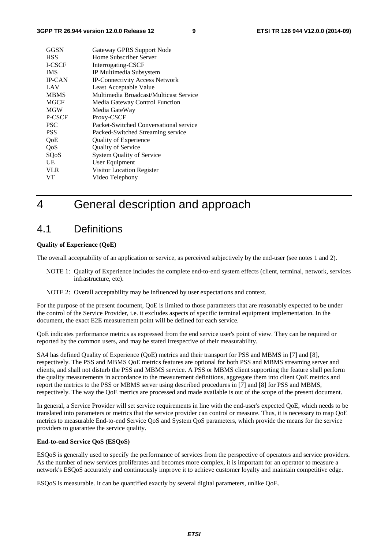| GGSN          | Gateway GPRS Support Node              |
|---------------|----------------------------------------|
| <b>HSS</b>    | Home Subscriber Server                 |
| I-CSCF        | Interrogating-CSCF                     |
| <b>IMS</b>    | IP Multimedia Subsystem                |
| <b>IP-CAN</b> | IP-Connectivity Access Network         |
| LAV           | Least Acceptable Value                 |
| <b>MBMS</b>   | Multimedia Broadcast/Multicast Service |
| <b>MGCF</b>   | Media Gateway Control Function         |
| <b>MGW</b>    | Media GateWay                          |
| P-CSCF        | Proxy-CSCF                             |
| <b>PSC</b>    | Packet-Switched Conversational service |
| <b>PSS</b>    | Packed-Switched Streaming service      |
| OoE           | Quality of Experience                  |
| QoS           | <b>Quality of Service</b>              |
| SQoS          | <b>System Quality of Service</b>       |
| UE            | User Equipment                         |
| <b>VLR</b>    | Visitor Location Register              |
| VT            | Video Telephony                        |

# 4 General description and approach

## 4.1 Definitions

### **Quality of Experience (QoE)**

The overall acceptability of an application or service, as perceived subjectively by the end-user (see notes 1 and 2).

- NOTE 1: Quality of Experience includes the complete end-to-end system effects (client, terminal, network, services infrastructure, etc).
- NOTE 2: Overall acceptability may be influenced by user expectations and context.

For the purpose of the present document, QoE is limited to those parameters that are reasonably expected to be under the control of the Service Provider, i.e. it excludes aspects of specific terminal equipment implementation. In the document, the exact E2E measurement point will be defined for each service.

QoE indicates performance metrics as expressed from the end service user's point of view. They can be required or reported by the common users, and may be stated irrespective of their measurability.

SA4 has defined Quality of Experience (QoE) metrics and their transport for PSS and MBMS in [7] and [8], respectively. The PSS and MBMS QoE metrics features are optional for both PSS and MBMS streaming server and clients, and shall not disturb the PSS and MBMS service. A PSS or MBMS client supporting the feature shall perform the quality measurements in accordance to the measurement definitions, aggregate them into client QoE metrics and report the metrics to the PSS or MBMS server using described procedures in [7] and [8] for PSS and MBMS, respectively. The way the QoE metrics are processed and made available is out of the scope of the present document.

In general, a Service Provider will set service requirements in line with the end-user's expected QoE, which needs to be translated into parameters or metrics that the service provider can control or measure. Thus, it is necessary to map QoE metrics to measurable End-to-end Service QoS and System QoS parameters, which provide the means for the service providers to guarantee the service quality.

#### **End-to-end Service QoS (ESQoS)**

ESQoS is generally used to specify the performance of services from the perspective of operators and service providers. As the number of new services proliferates and becomes more complex, it is important for an operator to measure a network's ESQoS accurately and continuously improve it to achieve customer loyalty and maintain competitive edge.

ESQoS is measurable. It can be quantified exactly by several digital parameters, unlike QoE.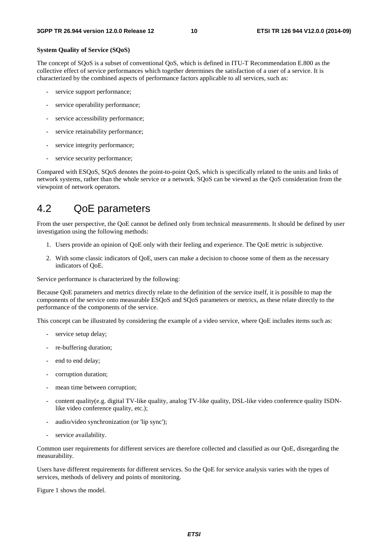#### **System Quality of Service (SQoS)**

The concept of SQoS is a subset of conventional QoS, which is defined in ITU-T Recommendation E.800 as the collective effect of service performances which together determines the satisfaction of a user of a service. It is characterized by the combined aspects of performance factors applicable to all services, such as:

- service support performance;
- service operability performance;
- service accessibility performance;
- service retainability performance;
- service integrity performance;
- service security performance;

Compared with ESQoS, SQoS denotes the point-to-point QoS, which is specifically related to the units and links of network systems, rather than the whole service or a network. SQoS can be viewed as the QoS consideration from the viewpoint of network operators.

## 4.2 QoE parameters

From the user perspective, the QoE cannot be defined only from technical measurements. It should be defined by user investigation using the following methods:

- 1. Users provide an opinion of QoE only with their feeling and experience. The QoE metric is subjective.
- 2. With some classic indicators of QoE, users can make a decision to choose some of them as the necessary indicators of QoE.

Service performance is characterized by the following:

Because QoE parameters and metrics directly relate to the definition of the service itself, it is possible to map the components of the service onto measurable ESQoS and SQoS parameters or metrics, as these relate directly to the performance of the components of the service.

This concept can be illustrated by considering the example of a video service, where QoE includes items such as:

- service setup delay;
- re-buffering duration:
- end to end delay;
- corruption duration;
- mean time between corruption;
- content quality(e.g. digital TV-like quality, analog TV-like quality, DSL-like video conference quality ISDNlike video conference quality, etc.);
- audio/video synchronization (or 'lip sync');
- service availability.

Common user requirements for different services are therefore collected and classified as our QoE, disregarding the measurability.

Users have different requirements for different services. So the QoE for service analysis varies with the types of services, methods of delivery and points of monitoring.

Figure 1 shows the model.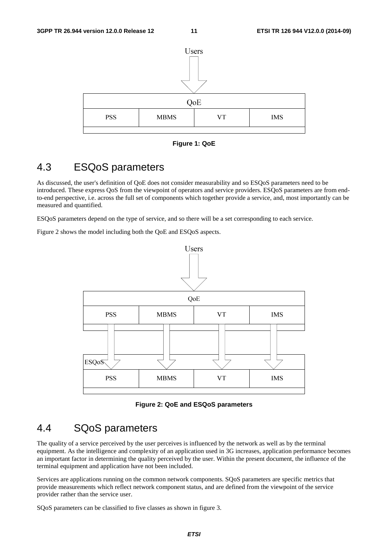

**Figure 1: QoE** 

## 4.3 ESQoS parameters

As discussed, the user's definition of QoE does not consider measurability and so ESQoS parameters need to be introduced. These express QoS from the viewpoint of operators and service providers. ESQoS parameters are from endto-end perspective, i.e. across the full set of components which together provide a service, and, most importantly can be measured and quantified.

ESQoS parameters depend on the type of service, and so there will be a set corresponding to each service.

Figure 2 shows the model including both the QoE and ESQoS aspects.



**Figure 2: QoE and ESQoS parameters** 

## 4.4 SQoS parameters

The quality of a service perceived by the user perceives is influenced by the network as well as by the terminal equipment. As the intelligence and complexity of an application used in 3G increases, application performance becomes an important factor in determining the quality perceived by the user. Within the present document, the influence of the terminal equipment and application have not been included.

Services are applications running on the common network components. SQoS parameters are specific metrics that provide measurements which reflect network component status, and are defined from the viewpoint of the service provider rather than the service user.

SQoS parameters can be classified to five classes as shown in figure 3.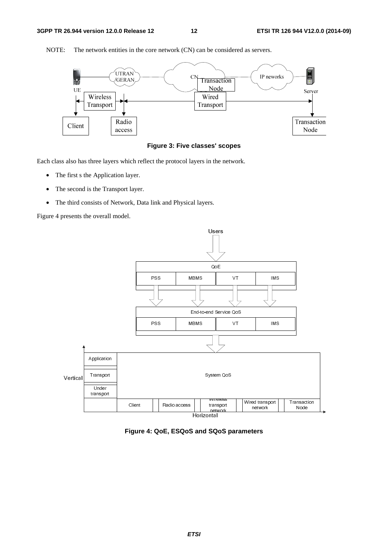

NOTE: The network entities in the core network (CN) can be considered as servers.



Each class also has three layers which reflect the protocol layers in the network.

- The first s the Application layer.
- The second is the Transport layer.
- The third consists of Network, Data link and Physical layers.

Figure 4 presents the overall model.



**Figure 4: QoE, ESQoS and SQoS parameters**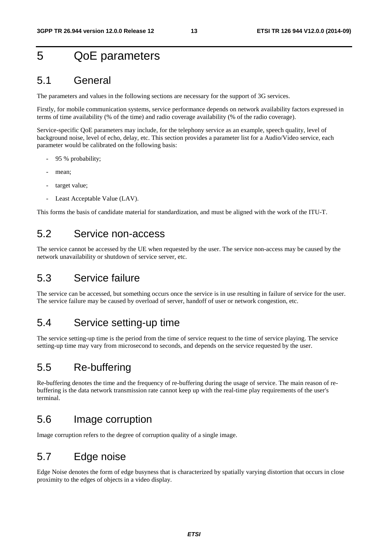# 5 QoE parameters

## 5.1 General

The parameters and values in the following sections are necessary for the support of 3G services.

Firstly, for mobile communication systems, service performance depends on network availability factors expressed in terms of time availability (% of the time) and radio coverage availability (% of the radio coverage).

Service-specific QoE parameters may include, for the telephony service as an example, speech quality, level of background noise, level of echo, delay, etc. This section provides a parameter list for a Audio/Video service, each parameter would be calibrated on the following basis:

- 95 % probability;
- mean;
- target value:
- Least Acceptable Value (LAV).

This forms the basis of candidate material for standardization, and must be aligned with the work of the ITU-T.

## 5.2 Service non-access

The service cannot be accessed by the UE when requested by the user. The service non-access may be caused by the network unavailability or shutdown of service server, etc.

## 5.3 Service failure

The service can be accessed, but something occurs once the service is in use resulting in failure of service for the user. The service failure may be caused by overload of server, handoff of user or network congestion, etc.

## 5.4 Service setting-up time

The service setting-up time is the period from the time of service request to the time of service playing. The service setting-up time may vary from microsecond to seconds, and depends on the service requested by the user.

## 5.5 Re-buffering

Re-buffering denotes the time and the frequency of re-buffering during the usage of service. The main reason of rebuffering is the data network transmission rate cannot keep up with the real-time play requirements of the user's terminal.

## 5.6 Image corruption

Image corruption refers to the degree of corruption quality of a single image.

# 5.7 Edge noise

Edge Noise denotes the form of edge busyness that is characterized by spatially varying distortion that occurs in close proximity to the edges of objects in a video display.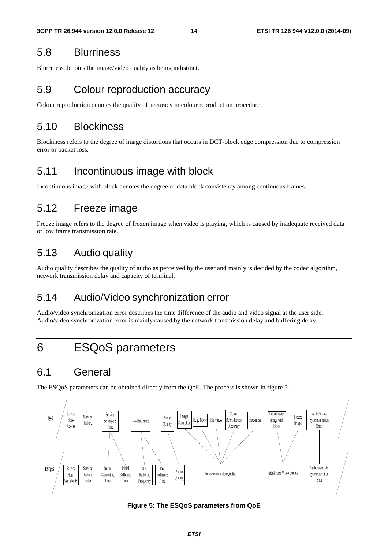## 5.8 Blurriness

Blurriness denotes the image/video quality as being indistinct.

# 5.9 Colour reproduction accuracy

Colour reproduction denotes the quality of accuracy in colour reproduction procedure.

# 5.10 Blockiness

Blockiness refers to the degree of image distortions that occurs in DCT-block edge compression due to compression error or packet loss.

# 5.11 Incontinuous image with block

Incontinuous image with block denotes the degree of data block consistency among continuous frames.

# 5.12 Freeze image

Freeze image refers to the degree of frozen image when video is playing, which is caused by inadequate received data or low frame transmission rate.

# 5.13 Audio quality

Audio quality describes the quality of audio as perceived by the user and mainly is decided by the codec algorithm, network transmission delay and capacity of terminal.

# 5.14 Audio/Video synchronization error

Audio/video synchronization error describes the time difference of the audio and video signal at the user side. Audio/video synchronization error is mainly caused by the network transmission delay and buffering delay.

# 6 ESQoS parameters

# 6.1 General

The ESQoS parameters can be obtained directly from the QoE. The process is shown in figure 5.



**Figure 5: The ESQoS parameters from QoE**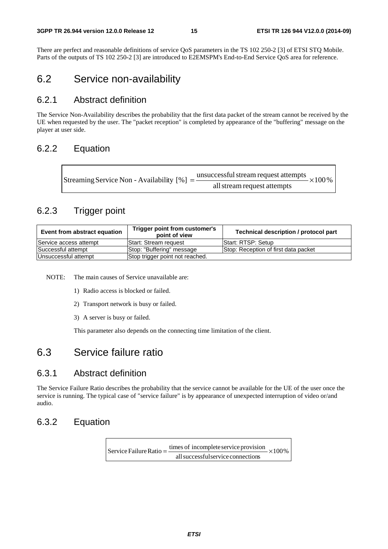There are perfect and reasonable definitions of service QoS parameters in the TS 102 250-2 [3] of ETSI STQ Mobile. Parts of the outputs of TS 102 250-2 [3] are introduced to E2EMSPM's End-to-End Service QoS area for reference.

## 6.2 Service non-availability

## 6.2.1 Abstract definition

The Service Non-Availability describes the probability that the first data packet of the stream cannot be received by the UE when requested by the user. The "packet reception" is completed by appearance of the "buffering" message on the player at user side.

## 6.2.2 Equation

| Streaming Service Non - Availability [%] = $\frac{\text{unsuccessful stream request attempts}}{\text{}}$ × 100 % |
|------------------------------------------------------------------------------------------------------------------|
| all stream request attempts                                                                                      |

## 6.2.3 Trigger point

| Event from abstract equation | Trigger point from customer's<br>point of view | Technical description / protocol part |
|------------------------------|------------------------------------------------|---------------------------------------|
| Service access attempt       | lStart: Stream reguest                         | Start: RTSP: Setup                    |
| Successful attempt           | Stop: "Buffering" message                      | Stop: Reception of first data packet  |
| Unsuccessful attempt         | Stop trigger point not reached.                |                                       |

NOTE: The main causes of Service unavailable are:

- 1) Radio access is blocked or failed.
- 2) Transport network is busy or failed.
- 3) A server is busy or failed.

This parameter also depends on the connecting time limitation of the client.

## 6.3 Service failure ratio

## 6.3.1 Abstract definition

The Service Failure Ratio describes the probability that the service cannot be available for the UE of the user once the service is running. The typical case of "service failure" is by appearance of unexpected interruption of video or/and audio.

## 6.3.2 Equation

 $\times100\%$ allsuccessfulservice connections Service Failure Ratio =  $\frac{\text{times of incomplete service provision}}{1}$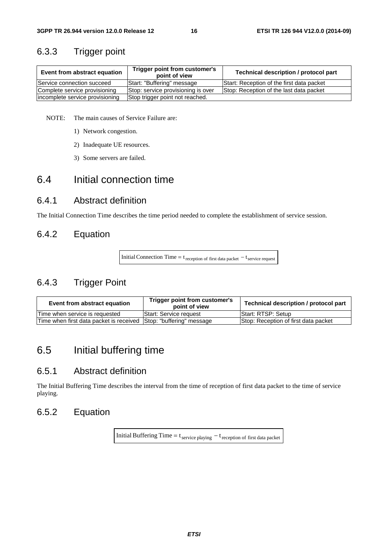## 6.3.3 Trigger point

| Event from abstract equation    | Trigger point from customer's<br>point of view | Technical description / protocol part     |
|---------------------------------|------------------------------------------------|-------------------------------------------|
| Service connection succeed      | Start: "Buffering" message                     | Start: Reception of the first data packet |
| Complete service provisioning   | Stop: service provisioning is over             | Stop: Reception of the last data packet   |
| incomplete service provisioning | Stop trigger point not reached.                |                                           |

NOTE: The main causes of Service Failure are:

- 1) Network congestion.
- 2) Inadequate UE resources.
- 3) Some servers are failed.

## 6.4 Initial connection time

## 6.4.1 Abstract definition

The Initial Connection Time describes the time period needed to complete the establishment of service session.

## 6.4.2 Equation

Initial Connection Time =  $t_{reception of first data packet} - t_{service request}$ 

## 6.4.3 Trigger Point

| Event from abstract equation                                      | Trigger point from customer's<br>point of view | Technical description / protocol part |
|-------------------------------------------------------------------|------------------------------------------------|---------------------------------------|
| Time when service is requested                                    | <b>Start: Service request</b>                  | Start: RTSP: Setup                    |
| Time when first data packet is received Stop: "buffering" message |                                                | Stop: Reception of first data packet  |

# 6.5 Initial buffering time

## 6.5.1 Abstract definition

The Initial Buffering Time describes the interval from the time of reception of first data packet to the time of service playing.

## 6.5.2 Equation

Initial Buffering Time =  $t_{\text{service playing}} - t_{\text{reception of first data packet}}$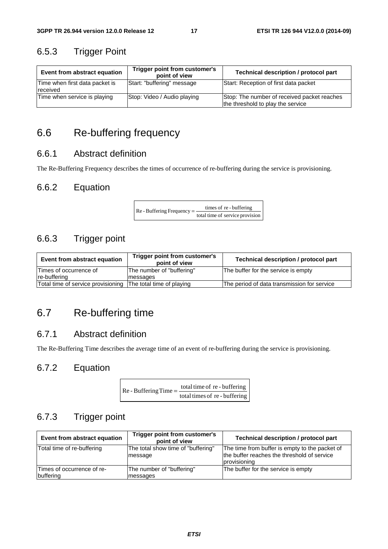## 6.5.3 Trigger Point

| Event from abstract equation               | Trigger point from customer's<br>point of view | Technical description / protocol part                                            |
|--------------------------------------------|------------------------------------------------|----------------------------------------------------------------------------------|
| Time when first data packet is<br>received | Start: "buffering" message                     | Start: Reception of first data packet                                            |
| Time when service is playing               | Stop: Video / Audio playing                    | Stop: The number of received packet reaches<br>the threshold to play the service |

# 6.6 Re-buffering frequency

## 6.6.1 Abstract definition

The Re-Buffering Frequency describes the times of occurrence of re-buffering during the service is provisioning.

## 6.6.2 Equation

 $\text{Re}$  - Buffering Frequency =  $\frac{\text{times of re} \cdot \text{buffering}}{\text{total time of service provision}}$ 

## 6.6.3 Trigger point

| Trigger point from customer's<br>Event from abstract equation<br>point of view |                           | Technical description / protocol part       |
|--------------------------------------------------------------------------------|---------------------------|---------------------------------------------|
| Times of occurrence of                                                         | The number of "buffering" | The buffer for the service is empty         |
| re-buffering                                                                   | messages                  |                                             |
| Total time of service provisioning The total time of playing                   |                           | The period of data transmission for service |

# 6.7 Re-buffering time

## 6.7.1 Abstract definition

The Re-Buffering Time describes the average time of an event of re-buffering during the service is provisioning.

## 6.7.2 Equation

| $Re$ - Buffering Time = $\frac{10}{10}$ | total time of re - buffering  |
|-----------------------------------------|-------------------------------|
|                                         | total times of re - buffering |

## 6.7.3 Trigger point

| Event from abstract equation            | Trigger point from customer's<br>point of view | Technical description / protocol part                                                                         |
|-----------------------------------------|------------------------------------------------|---------------------------------------------------------------------------------------------------------------|
| Total time of re-buffering              | The total show time of "buffering"<br>message  | The time from buffer is empty to the packet of<br>the buffer reaches the threshold of service<br>provisioning |
| Times of occurrence of re-<br>buffering | The number of "buffering"<br>messages          | The buffer for the service is empty                                                                           |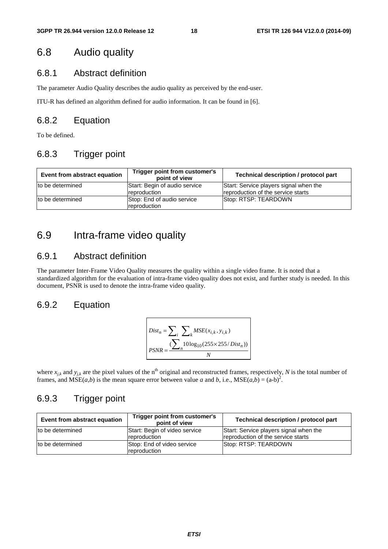## 6.8 Audio quality

## 6.8.1 Abstract definition

The parameter Audio Quality describes the audio quality as perceived by the end-user.

ITU-R has defined an algorithm defined for audio information. It can be found in [6].

## 6.8.2 Equation

To be defined.

## 6.8.3 Trigger point

| Event from abstract equation | Trigger point from customer's<br>point of view | Technical description / protocol part                                        |
|------------------------------|------------------------------------------------|------------------------------------------------------------------------------|
| Ito be determined            | Start: Begin of audio service<br>reproduction  | Start: Service players signal when the<br>reproduction of the service starts |
| to be determined             | Stop: End of audio service<br>reproduction     | Stop: RTSP: TEARDOWN                                                         |

# 6.9 Intra-frame video quality

## 6.9.1 Abstract definition

The parameter Inter-Frame Video Quality measures the quality within a single video frame. It is noted that a standardized algorithm for the evaluation of intra-frame video quality does not exist, and further study is needed. In this document, PSNR is used to denote the intra-frame video quality.

## 6.9.2 Equation

$$
Dist_n = \sum_{i} \sum_{k} MSE(x_{i,k}, y_{i,k})
$$
  
\n
$$
PSNR = \frac{\sum_{i} 10 \log_{10}(255 \times 255/Dist_n))}{N}
$$

where  $x_{jk}$  and  $y_{jk}$  are the pixel values of the n<sup>th</sup> original and reconstructed frames, respectively, *N* is the total number of frames, and  $MSE(a,b)$  is the mean square error between value *a* and *b*, i.e.,  $MSE(a,b) = (a-b)^2$ .

## 6.9.3 Trigger point

| Event from abstract equation | Trigger point from customer's<br>point of view | Technical description / protocol part                                        |
|------------------------------|------------------------------------------------|------------------------------------------------------------------------------|
| to be determined             | Start: Begin of video service<br>reproduction  | Start: Service players signal when the<br>reproduction of the service starts |
| to be determined             | Stop: End of video service<br>reproduction     | Stop: RTSP: TEARDOWN                                                         |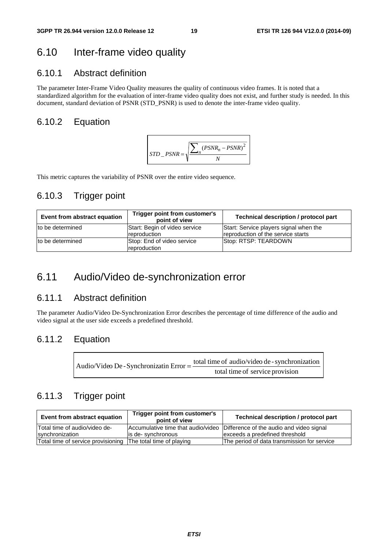# 6.10 Inter-frame video quality

## 6.10.1 Abstract definition

The parameter Inter-Frame Video Quality measures the quality of continuous video frames. It is noted that a standardized algorithm for the evaluation of inter-frame video quality does not exist, and further study is needed. In this document, standard deviation of PSNR (STD\_PSNR) is used to denote the inter-frame video quality.

## 6.10.2 Equation



This metric captures the variability of PSNR over the entire video sequence.

## 6.10.3 Trigger point

| Event from abstract equation | Trigger point from customer's<br>point of view | Technical description / protocol part                                        |
|------------------------------|------------------------------------------------|------------------------------------------------------------------------------|
| Ito be determined            | Start: Begin of video service<br>reproduction  | Start: Service players signal when the<br>reproduction of the service starts |
| to be determined             | Stop: End of video service<br>reproduction     | Stop: RTSP: TEARDOWN                                                         |

## 6.11 Audio/Video de-synchronization error

## 6.11.1 Abstract definition

The parameter Audio/Video De-Synchronization Error describes the percentage of time difference of the audio and video signal at the user side exceeds a predefined threshold.

## 6.11.2 Equation

| Audio/Video De - Synchronizatin Error = - | total time of audio/video de - synchronization |
|-------------------------------------------|------------------------------------------------|
|                                           | total time of service provision                |

## 6.11.3 Trigger point

| Event from abstract equation                                 | Trigger point from customer's<br>point of view | Technical description / protocol part                                       |
|--------------------------------------------------------------|------------------------------------------------|-----------------------------------------------------------------------------|
| Total time of audio/video de-                                |                                                | Accumulative time that audio/video Difference of the audio and video signal |
| synchronization                                              | lis de-synchronous                             | exceeds a predefined threshold                                              |
| Total time of service provisioning The total time of playing |                                                | The period of data transmission for service                                 |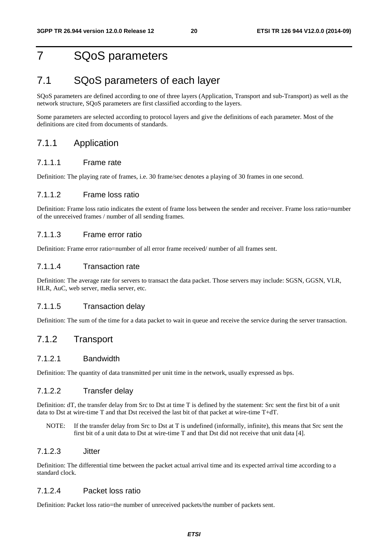# 7 SQoS parameters

## 7.1 SQoS parameters of each layer

SQoS parameters are defined according to one of three layers (Application, Transport and sub-Transport) as well as the network structure, SQoS parameters are first classified according to the layers.

Some parameters are selected according to protocol layers and give the definitions of each parameter. Most of the definitions are cited from documents of standards.

### 7.1.1 Application

### 7.1.1.1 Frame rate

Definition: The playing rate of frames, i.e. 30 frame/sec denotes a playing of 30 frames in one second.

### 7.1.1.2 Frame loss ratio

Definition: Frame loss ratio indicates the extent of frame loss between the sender and receiver. Frame loss ratio=number of the unreceived frames / number of all sending frames.

### 7.1.1.3 Frame error ratio

Definition: Frame error ratio=number of all error frame received/ number of all frames sent.

### 7.1.1.4 Transaction rate

Definition: The average rate for servers to transact the data packet. Those servers may include: SGSN, GGSN, VLR, HLR, AuC, web server, media server, etc.

### 7.1.1.5 Transaction delay

Definition: The sum of the time for a data packet to wait in queue and receive the service during the server transaction.

## 7.1.2 Transport

### 7.1.2.1 Bandwidth

Definition: The quantity of data transmitted per unit time in the network, usually expressed as bps.

### 7.1.2.2 Transfer delay

Definition: dT, the transfer delay from Src to Dst at time T is defined by the statement: Src sent the first bit of a unit data to Dst at wire-time T and that Dst received the last bit of that packet at wire-time T+dT.

NOTE: If the transfer delay from Src to Dst at T is undefined (informally, infinite), this means that Src sent the first bit of a unit data to Dst at wire-time T and that Dst did not receive that unit data [4].

### 7.1.2.3 Jitter

Definition: The differential time between the packet actual arrival time and its expected arrival time according to a standard clock.

### 7.1.2.4 Packet loss ratio

Definition: Packet loss ratio=the number of unreceived packets/the number of packets sent.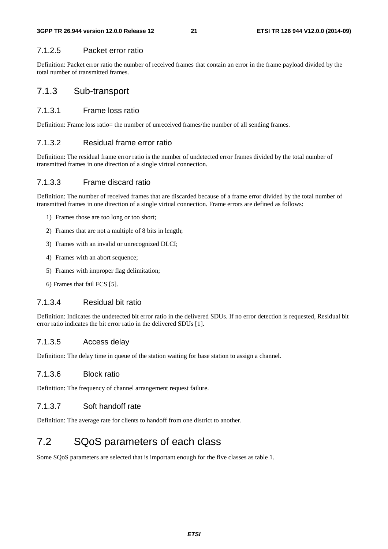### 7.1.2.5 Packet error ratio

Definition: Packet error ratio the number of received frames that contain an error in the frame payload divided by the total number of transmitted frames.

## 7.1.3 Sub-transport

### 7.1.3.1 Frame loss ratio

Definition: Frame loss ratio= the number of unreceived frames/the number of all sending frames.

### 7.1.3.2 Residual frame error ratio

Definition: The residual frame error ratio is the number of undetected error frames divided by the total number of transmitted frames in one direction of a single virtual connection.

### 7.1.3.3 Frame discard ratio

Definition: The number of received frames that are discarded because of a frame error divided by the total number of transmitted frames in one direction of a single virtual connection. Frame errors are defined as follows:

- 1) Frames those are too long or too short;
- 2) Frames that are not a multiple of 8 bits in length;
- 3) Frames with an invalid or unrecognized DLCI;
- 4) Frames with an abort sequence;
- 5) Frames with improper flag delimitation;
- 6) Frames that fail FCS [5].

### 7.1.3.4 Residual bit ratio

Definition: Indicates the undetected bit error ratio in the delivered SDUs. If no error detection is requested, Residual bit error ratio indicates the bit error ratio in the delivered SDUs [1].

### 7.1.3.5 Access delay

Definition: The delay time in queue of the station waiting for base station to assign a channel.

### 7.1.3.6 Block ratio

Definition: The frequency of channel arrangement request failure.

### 7.1.3.7 Soft handoff rate

Definition: The average rate for clients to handoff from one district to another.

## 7.2 SQoS parameters of each class

Some SQoS parameters are selected that is important enough for the five classes as table 1.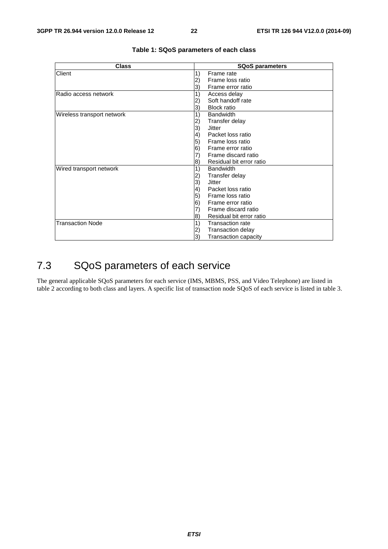| <b>Class</b>               | <b>SQoS parameters</b>                 |  |  |  |  |
|----------------------------|----------------------------------------|--|--|--|--|
| Client                     | 1)<br>Frame rate                       |  |  |  |  |
|                            | Frame loss ratio<br>2)                 |  |  |  |  |
|                            | Frame error ratio<br>3)                |  |  |  |  |
| lRadio access network      | 1)<br>Access delay                     |  |  |  |  |
|                            | Soft handoff rate<br>2)                |  |  |  |  |
|                            | <b>Block ratio</b><br>3)               |  |  |  |  |
| Wireless transport network | 1)<br><b>Bandwidth</b>                 |  |  |  |  |
|                            | Transfer delay<br>2)                   |  |  |  |  |
|                            | 3)<br>Jitter                           |  |  |  |  |
|                            | Packet loss ratio<br>$\vert 4)$        |  |  |  |  |
|                            | 5)<br>Frame loss ratio                 |  |  |  |  |
|                            | 6)<br>Frame error ratio                |  |  |  |  |
|                            | Frame discard ratio<br>7)              |  |  |  |  |
|                            | Residual bit error ratio<br>8)         |  |  |  |  |
| Wired transport network    | 1)<br><b>Bandwidth</b>                 |  |  |  |  |
|                            | Transfer delay<br>2)                   |  |  |  |  |
|                            | 3)<br>Jitter                           |  |  |  |  |
|                            | $\left( 4\right)$<br>Packet loss ratio |  |  |  |  |
|                            | Frame loss ratio<br>5)                 |  |  |  |  |
|                            | 6)<br>Frame error ratio                |  |  |  |  |
|                            | Frame discard ratio<br>7)              |  |  |  |  |
|                            | Residual bit error ratio<br>8)         |  |  |  |  |
| <b>Transaction Node</b>    | 1)<br><b>Transaction rate</b>          |  |  |  |  |
|                            | Transaction delay<br>2)                |  |  |  |  |
|                            | 3)<br>Transaction capacity             |  |  |  |  |

### **Table 1: SQoS parameters of each class**

# 7.3 SQoS parameters of each service

The general applicable SQoS parameters for each service (IMS, MBMS, PSS, and Video Telephone) are listed in table 2 according to both class and layers. A specific list of transaction node SQoS of each service is listed in table 3.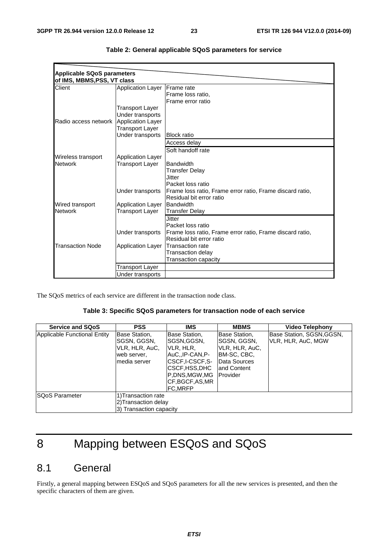| <b>Applicable SQoS parameters</b> |                          |                                                           |
|-----------------------------------|--------------------------|-----------------------------------------------------------|
| of IMS, MBMS, PSS, VT class       |                          |                                                           |
| Client                            | <b>Application Layer</b> | <b>IFrame</b> rate                                        |
|                                   |                          | Frame loss ratio,                                         |
|                                   |                          | Frame error ratio                                         |
|                                   | Transport Layer          |                                                           |
|                                   | Under transports         |                                                           |
| Radio access network              | Application Layer        |                                                           |
|                                   | Transport Layer          |                                                           |
|                                   | Under transports         | <b>Block ratio</b>                                        |
|                                   |                          | Access delay                                              |
|                                   |                          | Soft handoff rate                                         |
| Wireless transport                | <b>Application Layer</b> |                                                           |
| <b>Network</b>                    | Transport Layer          | <b>Bandwidth</b>                                          |
|                                   |                          | <b>Transfer Delay</b>                                     |
|                                   |                          | Jitter                                                    |
|                                   |                          | Packet loss ratio                                         |
|                                   | Under transports         | Frame loss ratio, Frame error ratio, Frame discard ratio, |
|                                   |                          | Residual bit error ratio                                  |
| Wired transport                   | <b>Application Layer</b> | Bandwidth                                                 |
| <b>Network</b>                    | Transport Layer          | <b>Transfer Delay</b>                                     |
|                                   |                          | <b>Jitter</b>                                             |
|                                   |                          | Packet loss ratio                                         |
|                                   | Under transports         | Frame loss ratio, Frame error ratio, Frame discard ratio, |
|                                   |                          | Residual bit error ratio                                  |
| <b>Transaction Node</b>           | <b>Application Layer</b> | Transaction rate                                          |
|                                   |                          | Transaction delay                                         |
|                                   |                          | Transaction capacity                                      |
|                                   | Transport Layer          |                                                           |
|                                   | Under transports         |                                                           |

| Table 2: General applicable SQoS parameters for service |  |  |  |  |  |
|---------------------------------------------------------|--|--|--|--|--|
|---------------------------------------------------------|--|--|--|--|--|

The SQoS metrics of each service are different in the transaction node class.

### **Table 3: Specific SQoS parameters for transaction node of each service**

| <b>Service and SQoS</b>      | <b>PSS</b>                                                                     | IMS                                                                                                                                                   | <b>MBMS</b>                                                                                                | <b>Video Telephony</b>                          |
|------------------------------|--------------------------------------------------------------------------------|-------------------------------------------------------------------------------------------------------------------------------------------------------|------------------------------------------------------------------------------------------------------------|-------------------------------------------------|
| Applicable Functional Entity | Base Station,<br>SGSN, GGSN,<br>VLR, HLR, AuC,<br>web server,<br>Imedia server | Base Station,<br>ISGSN.GGSN.<br>IVLR, HLR,<br>IAuCIP-CAN.P-<br>ICSCF.I-CSCF.S-<br>ICSCF,HSS,DHC<br>P.DNS.MGW.MG<br>CF, BGCF, AS, MR<br><b>FC.MRFP</b> | Base Station,<br>SGSN, GGSN,<br>VLR, HLR, AuC,<br>IBM-SC, CBC,<br>Data Sources<br>land Content<br>Provider | Base Station, SGSN, GGSN,<br>VLR, HLR, AuC, MGW |
| <b>SQoS Parameter</b>        | 1) Transaction rate<br>2) Transaction delay<br>3) Transaction capacity         |                                                                                                                                                       |                                                                                                            |                                                 |

# 8 Mapping between ESQoS and SQoS

# 8.1 General

Firstly, a general mapping between ESQoS and SQoS parameters for all the new services is presented, and then the specific characters of them are given.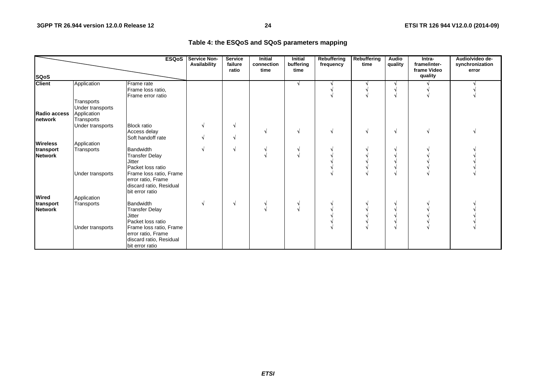### **Table 4: the ESQoS and SQoS parameters mapping**

|                             |                                                             | <b>ESQoS</b>                                                                                                                     | <b>Service Non-</b><br>Availability | <b>Service</b><br>failure<br>ratio | Initial<br>connection<br>time | <b>Initial</b><br>buffering<br>time | <b>Rebuffering</b><br>frequency | Rebuffering<br>time | <b>Audio</b><br>quality | Intra-<br>frame/inter-<br>frame Video | Audio/video de-<br>synchronization<br>error |
|-----------------------------|-------------------------------------------------------------|----------------------------------------------------------------------------------------------------------------------------------|-------------------------------------|------------------------------------|-------------------------------|-------------------------------------|---------------------------------|---------------------|-------------------------|---------------------------------------|---------------------------------------------|
| <b>SQoS</b>                 |                                                             |                                                                                                                                  |                                     |                                    |                               |                                     |                                 |                     |                         | quality                               |                                             |
| <b>Client</b>               | Application                                                 | <b>Frame</b> rate<br>Frame loss ratio,<br>Frame error ratio                                                                      |                                     |                                    |                               |                                     |                                 |                     |                         |                                       |                                             |
| Radio access<br>network     | Transports<br>Under transports<br>Application<br>Transports |                                                                                                                                  |                                     |                                    |                               |                                     |                                 |                     |                         |                                       |                                             |
|                             | Under transports                                            | <b>Block ratio</b><br>Access delay<br>Soft handoff rate                                                                          |                                     | V<br>V.                            |                               |                                     |                                 |                     | N                       |                                       |                                             |
| <b>Wireless</b>             | Application                                                 |                                                                                                                                  |                                     |                                    |                               |                                     |                                 |                     |                         |                                       |                                             |
| transport<br><b>Network</b> | Transports                                                  | Bandwidth<br><b>Transfer Delay</b><br><b>Jitter</b><br>Packet loss ratio                                                         |                                     | N                                  |                               |                                     |                                 |                     |                         |                                       |                                             |
|                             | Under transports                                            | Frame loss ratio, Frame<br>error ratio, Frame<br>discard ratio, Residual<br>bit error ratio                                      |                                     |                                    |                               |                                     |                                 |                     |                         |                                       |                                             |
| <b>Wired</b>                | Application                                                 |                                                                                                                                  |                                     |                                    |                               |                                     |                                 |                     |                         |                                       |                                             |
| transport<br><b>Network</b> | Transports<br>Under transports                              | <b>Bandwidth</b><br><b>Transfer Delay</b><br><b>Jitter</b><br>Packet loss ratio<br>Frame loss ratio, Frame<br>error ratio, Frame |                                     | N                                  |                               |                                     |                                 |                     | A.                      |                                       |                                             |
|                             |                                                             | discard ratio, Residual<br>bit error ratio                                                                                       |                                     |                                    |                               |                                     |                                 |                     |                         |                                       |                                             |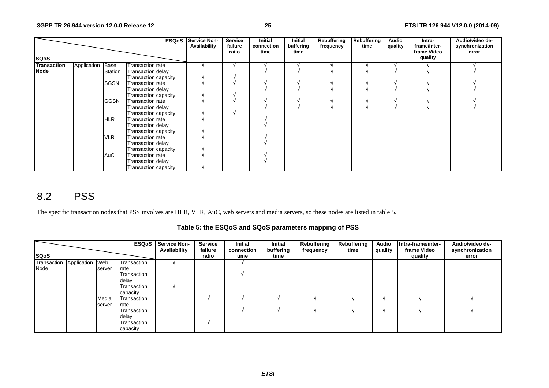|             |                  |             | <b>ESQoS</b>         | <b>Service Non-</b><br>Availability | Service<br>failure<br>ratio | <b>Initial</b><br>connection<br>time | Initial<br>buffering<br>time | Rebuffering<br>frequency | Rebuffering<br>time | Audio<br>quality | Intra-<br>frame/inter-<br>frame Video | Audio/video de-<br>synchronization<br>error |
|-------------|------------------|-------------|----------------------|-------------------------------------|-----------------------------|--------------------------------------|------------------------------|--------------------------|---------------------|------------------|---------------------------------------|---------------------------------------------|
| <b>SQoS</b> |                  |             |                      |                                     |                             |                                      |                              |                          |                     |                  | quality                               |                                             |
| Transaction | Application Base |             | Transaction rate     |                                     |                             |                                      |                              |                          |                     |                  |                                       |                                             |
| <b>Node</b> |                  | Station     | Transaction delay    |                                     |                             |                                      |                              |                          |                     |                  |                                       |                                             |
|             |                  |             | Transaction capacity |                                     |                             |                                      |                              |                          |                     |                  |                                       |                                             |
|             |                  | <b>SGSN</b> | Transaction rate     |                                     |                             |                                      |                              |                          |                     |                  |                                       |                                             |
|             |                  |             | Transaction delay    |                                     |                             |                                      |                              |                          |                     |                  |                                       |                                             |
|             |                  |             | Transaction capacity |                                     |                             |                                      |                              |                          |                     |                  |                                       |                                             |
|             |                  | <b>GGSN</b> | Transaction rate     |                                     |                             |                                      |                              |                          |                     |                  |                                       |                                             |
|             |                  |             | Transaction delay    |                                     |                             |                                      |                              |                          |                     |                  |                                       |                                             |
|             |                  |             | Transaction capacity |                                     |                             |                                      |                              |                          |                     |                  |                                       |                                             |
|             |                  | <b>HLR</b>  | Transaction rate     |                                     |                             |                                      |                              |                          |                     |                  |                                       |                                             |
|             |                  |             | Transaction delay    |                                     |                             |                                      |                              |                          |                     |                  |                                       |                                             |
|             |                  |             | Transaction capacity |                                     |                             |                                      |                              |                          |                     |                  |                                       |                                             |
|             |                  | <b>VLR</b>  | Transaction rate     |                                     |                             |                                      |                              |                          |                     |                  |                                       |                                             |
|             |                  |             | Transaction delay    |                                     |                             |                                      |                              |                          |                     |                  |                                       |                                             |
|             |                  |             | Transaction capacity |                                     |                             |                                      |                              |                          |                     |                  |                                       |                                             |
|             |                  | AuC         | Transaction rate     |                                     |                             |                                      |                              |                          |                     |                  |                                       |                                             |
|             |                  |             | Transaction delay    |                                     |                             |                                      |                              |                          |                     |                  |                                       |                                             |
|             |                  |             | Transaction capacity |                                     |                             |                                      |                              |                          |                     |                  |                                       |                                             |

# 8.2 PSS

The specific transaction nodes that PSS involves are HLR, VLR, AuC, web servers and media servers, so these nodes are listed in table 5.

**Table 5: the ESQoS and SQoS parameters mapping of PSS** 

|                             |        |             | <b>ESQoS</b> Service Non-<br>Availability | <b>Service</b><br>failure | Initial<br>connection | Initial<br>buffering | Rebuffering<br>frequency | Rebuffering<br>time | <b>Audio</b><br>quality | Intra-frame/inter-<br>frame Video | Audio/video de-<br>synchronization |
|-----------------------------|--------|-------------|-------------------------------------------|---------------------------|-----------------------|----------------------|--------------------------|---------------------|-------------------------|-----------------------------------|------------------------------------|
| <b>SQoS</b>                 |        |             |                                           | ratio                     | time                  | time                 |                          |                     |                         | quality                           | error                              |
| Transaction Application Web |        | Transaction |                                           |                           |                       |                      |                          |                     |                         |                                   |                                    |
| Node                        | server | rate        |                                           |                           |                       |                      |                          |                     |                         |                                   |                                    |
|                             |        | Transaction |                                           |                           |                       |                      |                          |                     |                         |                                   |                                    |
|                             |        | delay       |                                           |                           |                       |                      |                          |                     |                         |                                   |                                    |
|                             |        | Transaction |                                           |                           |                       |                      |                          |                     |                         |                                   |                                    |
|                             |        | capacity    |                                           |                           |                       |                      |                          |                     |                         |                                   |                                    |
|                             | Media  | Transaction |                                           |                           |                       |                      |                          |                     |                         |                                   |                                    |
|                             | server | rate        |                                           |                           |                       |                      |                          |                     |                         |                                   |                                    |
|                             |        | Transaction |                                           |                           |                       |                      |                          |                     |                         |                                   |                                    |
|                             |        | delay       |                                           |                           |                       |                      |                          |                     |                         |                                   |                                    |
|                             |        | Transaction |                                           |                           |                       |                      |                          |                     |                         |                                   |                                    |
|                             |        | capacity    |                                           |                           |                       |                      |                          |                     |                         |                                   |                                    |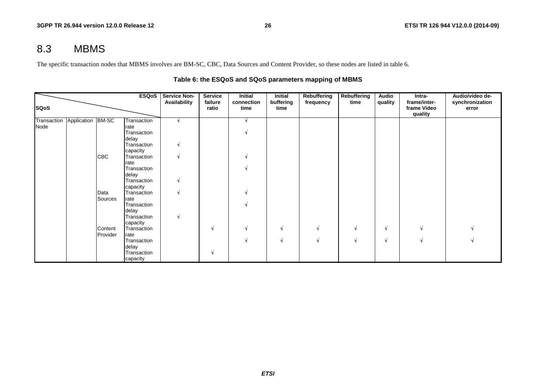# 8.3 MBMS

The specific transaction nodes that MBMS involves are BM-SC, CBC, Data Sources and Content Provider, so these nodes are listed in table 6.

|             |                               |            | ESQoS               | <b>Service Non-</b> | <b>Service</b>   | Initial            | Initial           | Rebuffering | <b>Rebuffering</b> | Audio   | Intra-                                 | Audio/video de-          |
|-------------|-------------------------------|------------|---------------------|---------------------|------------------|--------------------|-------------------|-------------|--------------------|---------|----------------------------------------|--------------------------|
| <b>SQoS</b> |                               |            |                     | Availability        | failure<br>ratio | connection<br>time | buffering<br>time | frequency   | time               | quality | frame/inter-<br>frame Video<br>quality | synchronization<br>error |
|             | Transaction Application BM-SC |            | Transaction         |                     |                  |                    |                   |             |                    |         |                                        |                          |
| Node        |                               |            | rate                |                     |                  |                    |                   |             |                    |         |                                        |                          |
|             |                               |            | Transaction         |                     |                  |                    |                   |             |                    |         |                                        |                          |
|             |                               |            | delay               |                     |                  |                    |                   |             |                    |         |                                        |                          |
|             |                               |            | Transaction         |                     |                  |                    |                   |             |                    |         |                                        |                          |
|             |                               |            | capacity            |                     |                  |                    |                   |             |                    |         |                                        |                          |
|             |                               | <b>CBC</b> | Transaction<br>rate |                     |                  |                    |                   |             |                    |         |                                        |                          |
|             |                               |            | Transaction         |                     |                  |                    |                   |             |                    |         |                                        |                          |
|             |                               |            | delay               |                     |                  |                    |                   |             |                    |         |                                        |                          |
|             |                               |            | Transaction         |                     |                  |                    |                   |             |                    |         |                                        |                          |
|             |                               |            | capacity            |                     |                  |                    |                   |             |                    |         |                                        |                          |
|             |                               | Data       | Transaction         |                     |                  |                    |                   |             |                    |         |                                        |                          |
|             |                               | Sources    | rate                |                     |                  |                    |                   |             |                    |         |                                        |                          |
|             |                               |            | Transaction         |                     |                  |                    |                   |             |                    |         |                                        |                          |
|             |                               |            | delay               |                     |                  |                    |                   |             |                    |         |                                        |                          |
|             |                               |            | Transaction         |                     |                  |                    |                   |             |                    |         |                                        |                          |
|             |                               |            | capacity            |                     |                  |                    |                   |             |                    |         |                                        |                          |
|             |                               | Content    | Transaction         |                     | N                |                    | N                 | N           |                    | N       |                                        |                          |
|             |                               | Provider   | rate                |                     |                  |                    |                   |             |                    |         |                                        |                          |
|             |                               |            | Transaction         |                     |                  |                    | N                 | M           |                    | N       |                                        |                          |
|             |                               |            | delay               |                     |                  |                    |                   |             |                    |         |                                        |                          |
|             |                               |            | Transaction         |                     | N                |                    |                   |             |                    |         |                                        |                          |
|             |                               |            | capacity            |                     |                  |                    |                   |             |                    |         |                                        |                          |

### **Table 6: the ESQoS and SQoS parameters mapping of MBMS**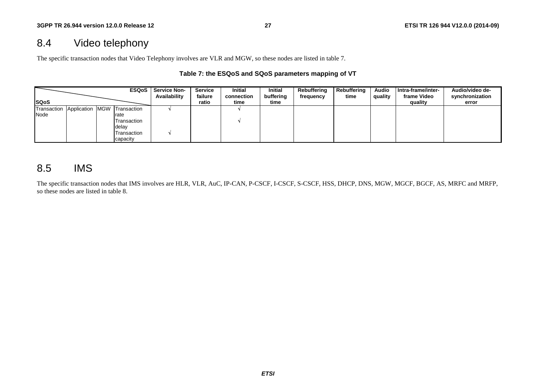# 8.4 Video telephony

The specific transaction nodes that Video Telephony involves are VLR and MGW, so these nodes are listed in table 7.

### **Table 7: the ESQoS and SQoS parameters mapping of VT**

|              |             | <b>ESQoS</b>    | <b>Service Non-</b><br>Availability | Service<br>failure | <b>Initial</b><br>connection | <b>Initial</b><br>buffering | Rebuffering<br>frequency | Rebuffering<br>time | <b>Audio</b><br>quality | Intra-frame/inter-<br>frame Video | Audio/video de-<br>synchronization |
|--------------|-------------|-----------------|-------------------------------------|--------------------|------------------------------|-----------------------------|--------------------------|---------------------|-------------------------|-----------------------------------|------------------------------------|
| <b>ISQoS</b> |             |                 |                                     | ratio              | time                         | time                        |                          |                     |                         | quality                           | error                              |
| Transaction  | Application | MGW Transaction |                                     |                    |                              |                             |                          |                     |                         |                                   |                                    |
| Node         |             | rate            |                                     |                    |                              |                             |                          |                     |                         |                                   |                                    |
|              |             | Transaction     |                                     |                    |                              |                             |                          |                     |                         |                                   |                                    |
|              |             | delay           |                                     |                    |                              |                             |                          |                     |                         |                                   |                                    |
|              |             | Transaction     |                                     |                    |                              |                             |                          |                     |                         |                                   |                                    |
|              |             | capacity        |                                     |                    |                              |                             |                          |                     |                         |                                   |                                    |

## 8.5 IMS

The specific transaction nodes that IMS involves are HLR, VLR, AuC, IP-CAN, P-CSCF, I-CSCF, S-CSCF, HSS, DHCP, DNS, MGW, MGCF, BGCF, AS, MRFC and MRFP, so these nodes are listed in table 8.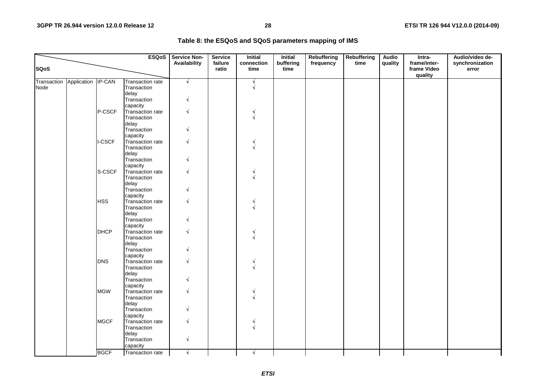| Table 8: the ESQoS and SQoS parameters mapping of IMS |  |  |
|-------------------------------------------------------|--|--|
|-------------------------------------------------------|--|--|

|                     |                    |               | <b>ESQoS</b>                                         | <b>Service Non-</b>      | <b>Service</b>   | <b>Initial</b>     | <b>Initial</b>    | Rebuffering | <b>Rebuffering</b> | <b>Audio</b> | Intra-                                 | Audio/video de-          |
|---------------------|--------------------|---------------|------------------------------------------------------|--------------------------|------------------|--------------------|-------------------|-------------|--------------------|--------------|----------------------------------------|--------------------------|
| <b>SQoS</b>         |                    |               |                                                      | Availability             | failure<br>ratio | connection<br>time | buffering<br>time | frequency   | time               | quality      | frame/inter-<br>frame Video<br>quality | synchronization<br>error |
| Transaction<br>Node | Application IP-CAN |               | <b>Transaction rate</b><br>Transaction<br>delay      | $\sqrt{ }$               |                  | N                  |                   |             |                    |              |                                        |                          |
|                     |                    |               | Transaction<br>capacity                              | N                        |                  |                    |                   |             |                    |              |                                        |                          |
|                     |                    | P-CSCF        | Transaction rate<br>Transaction                      | N                        |                  |                    |                   |             |                    |              |                                        |                          |
|                     |                    |               | delay<br>Transaction<br>capacity                     | N                        |                  |                    |                   |             |                    |              |                                        |                          |
|                     |                    | <b>I-CSCF</b> | Transaction rate<br>Transaction<br>delay             | $\sqrt{ }$               |                  |                    |                   |             |                    |              |                                        |                          |
|                     |                    |               | Transaction<br>capacity                              | N                        |                  |                    |                   |             |                    |              |                                        |                          |
|                     |                    | S-CSCF        | Transaction rate<br>Transaction<br>delay             | $\sqrt{}$                |                  |                    |                   |             |                    |              |                                        |                          |
|                     |                    | <b>HSS</b>    | Transaction<br>capacity<br>Transaction rate          | $\sqrt{ }$<br>$\sqrt{ }$ |                  |                    |                   |             |                    |              |                                        |                          |
|                     |                    |               | Transaction<br>delay<br>Transaction                  | N                        |                  |                    |                   |             |                    |              |                                        |                          |
|                     |                    | <b>DHCP</b>   | capacity<br>Transaction rate<br>Transaction<br>delay | $\sqrt{ }$               |                  |                    |                   |             |                    |              |                                        |                          |
|                     |                    |               | Transaction<br>capacity                              | N                        |                  |                    |                   |             |                    |              |                                        |                          |
|                     |                    | <b>DNS</b>    | Transaction rate<br>Transaction<br>delay             | N                        |                  |                    |                   |             |                    |              |                                        |                          |
|                     |                    |               | Transaction<br>capacity                              | $\sqrt{ }$               |                  |                    |                   |             |                    |              |                                        |                          |
|                     |                    | <b>MGW</b>    | Transaction rate<br>Transaction<br>delay             | $\sqrt{ }$               |                  |                    |                   |             |                    |              |                                        |                          |
|                     |                    | <b>MGCF</b>   | Transaction<br>capacity<br>Transaction rate          | N<br>$\sqrt{ }$          |                  |                    |                   |             |                    |              |                                        |                          |
|                     |                    |               | Transaction<br>delay                                 |                          |                  |                    |                   |             |                    |              |                                        |                          |
|                     |                    |               | Transaction<br>capacity                              | $\sqrt{ }$               |                  |                    |                   |             |                    |              |                                        |                          |
|                     |                    | <b>BGCF</b>   | Transaction rate                                     | $\sqrt{ }$               |                  | N.                 |                   |             |                    |              |                                        |                          |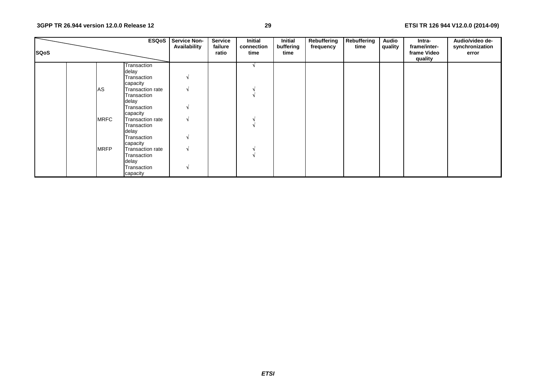### **29 ETSI TR 126 944 V12.0.0 (2014-09)**

| <b>SQoS</b> |             | <b>ESQoS</b>            | <b>Service Non-</b><br>Availability | <b>Service</b><br>failure<br>ratio | <b>Initial</b><br>connection<br>time | Initial<br>buffering<br>time | Rebuffering<br>frequency | Rebuffering<br>time | Audio<br>quality | Intra-<br>frame/inter-<br>frame Video | Audio/video de-<br>synchronization<br>error |
|-------------|-------------|-------------------------|-------------------------------------|------------------------------------|--------------------------------------|------------------------------|--------------------------|---------------------|------------------|---------------------------------------|---------------------------------------------|
|             |             |                         |                                     |                                    |                                      |                              |                          |                     |                  | quality                               |                                             |
|             |             | Transaction             |                                     |                                    |                                      |                              |                          |                     |                  |                                       |                                             |
|             |             | delay                   |                                     |                                    |                                      |                              |                          |                     |                  |                                       |                                             |
|             |             | Transaction             | N                                   |                                    |                                      |                              |                          |                     |                  |                                       |                                             |
|             |             | capacity                |                                     |                                    |                                      |                              |                          |                     |                  |                                       |                                             |
|             | AS          | <b>Transaction rate</b> | V                                   |                                    |                                      |                              |                          |                     |                  |                                       |                                             |
|             |             | Transaction             |                                     |                                    |                                      |                              |                          |                     |                  |                                       |                                             |
|             |             | delay                   |                                     |                                    |                                      |                              |                          |                     |                  |                                       |                                             |
|             |             | Transaction             | N                                   |                                    |                                      |                              |                          |                     |                  |                                       |                                             |
|             |             | capacity                |                                     |                                    |                                      |                              |                          |                     |                  |                                       |                                             |
|             | <b>MRFC</b> | <b>Transaction rate</b> | V                                   |                                    |                                      |                              |                          |                     |                  |                                       |                                             |
|             |             | Transaction             |                                     |                                    |                                      |                              |                          |                     |                  |                                       |                                             |
|             |             | delay                   |                                     |                                    |                                      |                              |                          |                     |                  |                                       |                                             |
|             |             | Transaction             | V                                   |                                    |                                      |                              |                          |                     |                  |                                       |                                             |
|             |             | capacity                |                                     |                                    |                                      |                              |                          |                     |                  |                                       |                                             |
|             | <b>MRFP</b> | <b>Transaction rate</b> | $\sqrt{ }$                          |                                    |                                      |                              |                          |                     |                  |                                       |                                             |
|             |             | Transaction             |                                     |                                    |                                      |                              |                          |                     |                  |                                       |                                             |
|             |             | delay                   |                                     |                                    |                                      |                              |                          |                     |                  |                                       |                                             |
|             |             | Transaction             | N                                   |                                    |                                      |                              |                          |                     |                  |                                       |                                             |
|             |             | capacity                |                                     |                                    |                                      |                              |                          |                     |                  |                                       |                                             |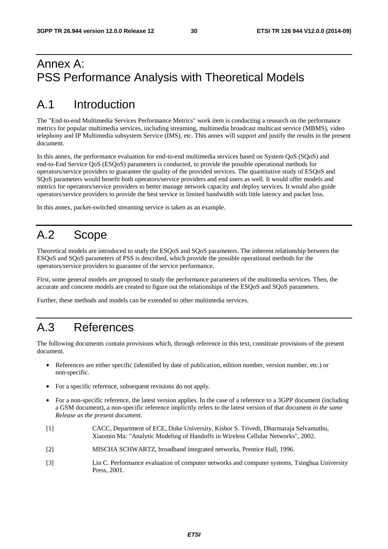# Annex A: PSS Performance Analysis with Theoretical Models

# A.1 Introduction

The "End-to-end Multimedia Services Performance Metrics" work item is conducting a research on the performance metrics for popular multimedia services, including streaming, multimedia broadcast multicast service (MBMS), video telephony and IP Multimedia subsystem Service (IMS), etc. This annex will support and justify the results in the present document.

In this annex, the performance evaluation for end-to-end multimedia services based on System QoS (SQoS) and end-to-End Service QoS (ESQoS) parameters is conducted, to provide the possible operational methods for operators/service providers to guarantee the quality of the provided services. The quantitative study of ESQoS and SQoS parameters would benefit both operators/service providers and end users as well. It would offer models and metrics for operators/service providers to better manage network capacity and deploy services. It would also guide operators/service providers to provide the best service in limited bandwidth with little latency and packet loss.

In this annex, packet-switched streaming service is taken as an example.

# A.2 Scope

Theoretical models are introduced to study the ESQoS and SQoS parameters. The inherent relationship between the ESQoS and SQoS parameters of PSS is described, which provide the possible operational methods for the operators/service providers to guarantee of the service performance.

First, some general models are proposed to study the performance parameters of the multimedia services. Then, the accurate and concrete models are created to figure out the relationships of the ESQoS and SQoS parameters.

Further, these methods and models can be extended to other multimedia services.

# A.3 References

The following documents contain provisions which, through reference in this text, constitute provisions of the present document.

- References are either specific (identified by date of publication, edition number, version number, etc.) or non-specific.
- For a specific reference, subsequent revisions do not apply.
- For a non-specific reference, the latest version applies. In the case of a reference to a 3GPP document (including a GSM document), a non-specific reference implicitly refers to the latest version of that document *in the same Release as the present document*.
- [1] CACC, Department of ECE, Duke University, Kishor S. Trivedi, Dharmaraja Selvamuthu, Xiaomin Ma: "Analytic Modeling of Handoffs in Wireless Cellular Networks", 2002.
- [2] MISCHA SCHWARTZ, broadband integrated networks, Prentice Hall, 1996.
- [3] Lin C. Performance evaluation of computer networks and computer systems, Tsinghua University Press, 2001.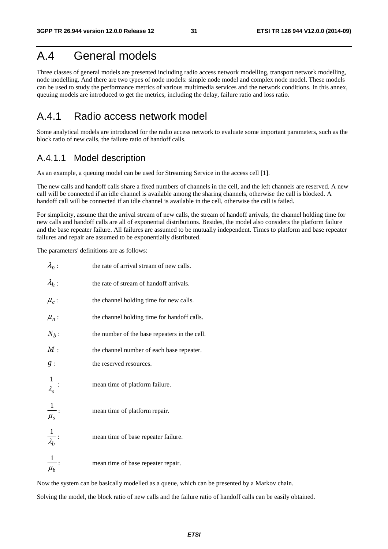# A.4 General models

Three classes of general models are presented including radio access network modelling, transport network modelling, node modelling. And there are two types of node models: simple node model and complex node model. These models can be used to study the performance metrics of various multimedia services and the network conditions. In this annex, queuing models are introduced to get the metrics, including the delay, failure ratio and loss ratio.

## A.4.1 Radio access network model

Some analytical models are introduced for the radio access network to evaluate some important parameters, such as the block ratio of new calls, the failure ratio of handoff calls.

## A.4.1.1 Model description

As an example, a queuing model can be used for Streaming Service in the access cell [1].

The new calls and handoff calls share a fixed numbers of channels in the cell, and the left channels are reserved. A new call will be connected if an idle channel is available among the sharing channels, otherwise the call is blocked. A handoff call will be connected if an idle channel is available in the cell, otherwise the call is failed.

For simplicity, assume that the arrival stream of new calls, the stream of handoff arrivals, the channel holding time for new calls and handoff calls are all of exponential distributions. Besides, the model also considers the platform failure and the base repeater failure. All failures are assumed to be mutually independent. Times to platform and base repeater failures and repair are assumed to be exponentially distributed.

The parameters' definitions are as follows:

| $\lambda_n$ :                 | the rate of arrival stream of new calls.      |
|-------------------------------|-----------------------------------------------|
| $\lambda_h$ :                 | the rate of stream of handoff arrivals.       |
| $\mu_c$ :                     | the channel holding time for new calls.       |
| $\mu_n$ :                     | the channel holding time for handoff calls.   |
| $N_b$ :                       | the number of the base repeaters in the cell. |
| M:                            | the channel number of each base repeater.     |
| g:                            | the reserved resources.                       |
| $\frac{1}{\lambda_s}$         | mean time of platform failure.                |
| $\frac{1}{\mu_s}$ :           | mean time of platform repair.                 |
| $\frac{1}{\lambda_b}$ :       | mean time of base repeater failure.           |
| $\vert$<br>$\overline{\mu_b}$ | mean time of base repeater repair.            |

Now the system can be basically modelled as a queue, which can be presented by a Markov chain.

Solving the model, the block ratio of new calls and the failure ratio of handoff calls can be easily obtained.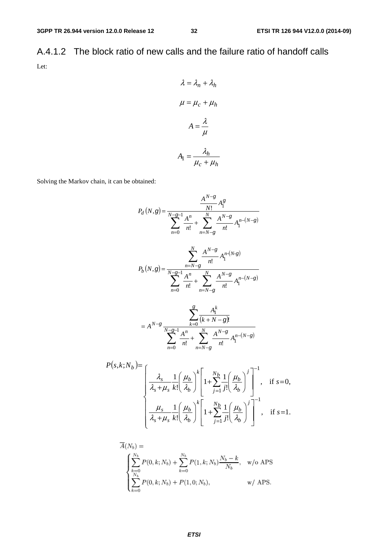A.4.1.2 The block ratio of new calls and the failure ratio of handoff calls Let:

$$
\lambda = \lambda_n + \lambda_h
$$

$$
\mu = \mu_c + \mu_h
$$

$$
A = \frac{\lambda}{\mu}
$$

$$
A_1 = \frac{\lambda_h}{\mu_c + \mu_h}
$$

Solving the Markov chain, it can be obtained:

$$
P_d(N,g) = \frac{A^{N-g}}{N!} A_1^g
$$
  
\n
$$
P_d(N,g) = \frac{A^n}{N!} A_1^m + \sum_{n=N-g}^{N} A_1^{N-g} A_1^{n-(N-g)}
$$
  
\n
$$
P_b(N,g) = \frac{\sum_{n=N-g}^{N} A^{N-g}}{n!} A_1^{n-(N-g)}
$$
  
\n
$$
P_b(N,g) = \frac{\sum_{n=N-g}^{N} A^{N-g}}{n!} A_1^{n-(N-g)}
$$
  
\n
$$
= A^{N-g} \frac{\sum_{k=0}^{g} A_1^k}{n!} + \sum_{n=N-g}^{N} A_1^{N-g} A_1^{n-(N-g)}
$$
  
\n
$$
P(s,k;N_b) = \left(\frac{\lambda_s}{\lambda_s + \mu_s} \frac{1}{k!} \left(\frac{\mu_b}{\lambda_b}\right)^k \left[1 + \sum_{i=1}^{N_b} \frac{1}{j!} \left(\frac{\mu_b}{\lambda_b}\right)^j\right]^{-1}, \text{ if } s = 0,
$$

$$
\begin{cases}\n\lambda_s + \mu_s \ k! \left(\lambda_b\right) \left[\begin{array}{c} 1 \\ -\frac{1}{j-1}j! \left(\lambda_b\right) \end{array}\right] & , \quad \text{if } s = 0, \\
\frac{\mu_s}{\lambda_s + \mu_s} \frac{1}{k!} \left(\frac{\mu_b}{\lambda_b}\right)^k \left[1 + \sum_{j=1}^{N_b} \frac{1}{j!} \left(\frac{\mu_b}{\lambda_b}\right)^j\right]^{-1}, & \text{if } s = 1.\n\end{cases}
$$

$$
\overline{A}(N_b) = \begin{cases}\n\sum_{k=0}^{N_b} P(0, k; N_b) + \sum_{k=0}^{N_b} P(1, k; N_b) \frac{N_b - k}{N_b}, & \text{w/o APS} \\
\sum_{k=0}^{N_b} P(0, k; N_b) + P(1, 0; N_b), & \text{w/ APS.} \n\end{cases}
$$

*ETSI*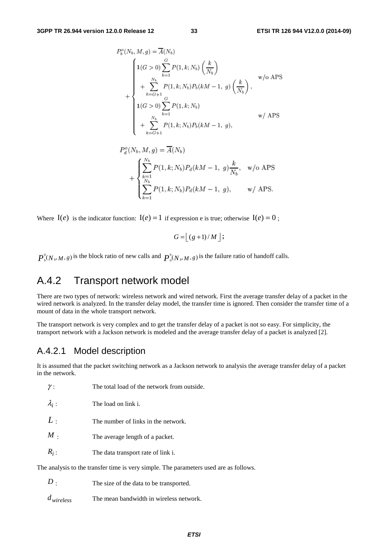$$
P_b^o(N_b, M, g) = \overline{A}(N_b)
$$
  
\n
$$
1(G > 0) \sum_{k=1}^{G} P(1, k; N_b) \left(\frac{k}{N_b}\right)
$$
  
\n
$$
+ \sum_{k=G+1}^{N_b} P(1, k; N_b) P_b(kM - 1, g) \left(\frac{k}{N_b}\right),
$$
  
\n
$$
1(G > 0) \sum_{k=1}^{G} P(1, k; N_b)
$$
  
\n
$$
+ \sum_{k=G+1}^{N_b} P(1, k; N_b) P_b(kM - 1, g),
$$
  
\n
$$
w / APS
$$

$$
P_d^o(N_b, M, g) = \overline{A}(N_b)
$$
  
+ 
$$
\begin{cases} \sum_{k=1}^{N_b} P(1, k; N_b) P_d(kM - 1, g) \frac{k}{N_b}, & w/o \text{ APS} \\ \sum_{k=1}^{N_b} P(1, k; N_b) P_d(kM - 1, g), & w/APS. \end{cases}
$$

Where  $I(e)$  is the indicator function:  $I(e) = 1$  if expression e is true; otherwise  $I(e) = 0$ ;

$$
G = \lfloor (g+1)/M \rfloor;
$$

0  $P_{\text{b}}^{0}(N_{\text{b}}, M, g)$  is the block ratio of new calls and  $P_{\text{d}}^{0}(N_{\text{b}}, M, g)$  is the failure ratio of handoff calls.

## A.4.2 Transport network model

There are two types of network: wireless network and wired network. First the average transfer delay of a packet in the wired network is analyzed. In the transfer delay model, the transfer time is ignored. Then consider the transfer time of a mount of data in the whole transport network.

The transport network is very complex and to get the transfer delay of a packet is not so easy. For simplicity, the transport network with a Jackson network is modeled and the average transfer delay of a packet is analyzed [2].

## A.4.2.1 Model description

It is assumed that the packet switching network as a Jackson network to analysis the average transfer delay of a packet in the network.

| ,,                                                                                    | THE total foad of the hetwork from outside. |  |  |  |  |  |  |
|---------------------------------------------------------------------------------------|---------------------------------------------|--|--|--|--|--|--|
| $\lambda_i$ :                                                                         | The load on link i.                         |  |  |  |  |  |  |
| L:                                                                                    | The number of links in the network.         |  |  |  |  |  |  |
| $M$ .                                                                                 | The average length of a packet.             |  |  |  |  |  |  |
| $R_i$ :                                                                               | The data transport rate of link i.          |  |  |  |  |  |  |
| The analysis to the transfer time is very simple. The parameters used are as follows. |                                             |  |  |  |  |  |  |

- *D* : The size of the data to be transported.
- *dwireless* The mean bandwidth in wireless network.

γ : The total load of the network from outside.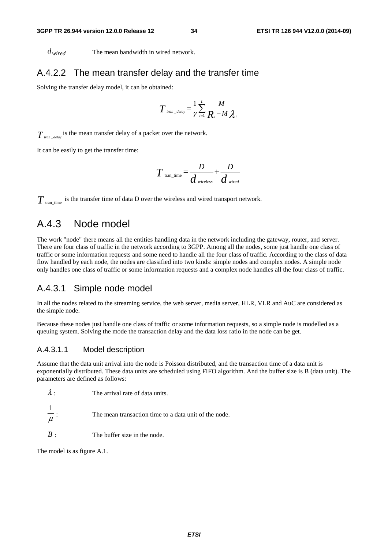*dwired* The mean bandwidth in wired network.

### A.4.2.2 The mean transfer delay and the transfer time

Solving the transfer delay model, it can be obtained:

$$
T_{\text{tran\_delay}} = \frac{1}{\gamma} \sum_{i=1}^{L} \frac{M}{R_i - M \lambda_i}
$$

 $T_{\textit{tran\_delay}}$  is the mean transfer delay of a packet over the network.

It can be easily to get the transfer time:

$$
T_{\text{tran\_time}} = \frac{D}{d_{\text{wireless}}} + \frac{D}{d_{\text{wired}}}
$$

 $T_{\text{tran time}}$  is the transfer time of data D over the wireless and wired transport network.

## A.4.3 Node model

The work "node" there means all the entities handling data in the network including the gateway, router, and server. There are four class of traffic in the network according to 3GPP. Among all the nodes, some just handle one class of traffic or some information requests and some need to handle all the four class of traffic. According to the class of data flow handled by each node, the nodes are classified into two kinds: simple nodes and complex nodes. A simple node only handles one class of traffic or some information requests and a complex node handles all the four class of traffic.

### A.4.3.1 Simple node model

In all the nodes related to the streaming service, the web server, media server, HLR, VLR and AuC are considered as the simple node.

Because these nodes just handle one class of traffic or some information requests, so a simple node is modelled as a queuing system. Solving the mode the transaction delay and the data loss ratio in the node can be get.

### A.4.3.1.1 Model description

Assume that the data unit arrival into the node is Poisson distributed, and the transaction time of a data unit is exponentially distributed. These data units are scheduled using FIFO algorithm. And the buffer size is B (data unit). The parameters are defined as follows:

| $\lambda$ : | The arrival rate of data units. |
|-------------|---------------------------------|
|             |                                 |

μ 1 The mean transaction time to a data unit of the node.

*B* : The buffer size in the node.

The model is as figure A.1.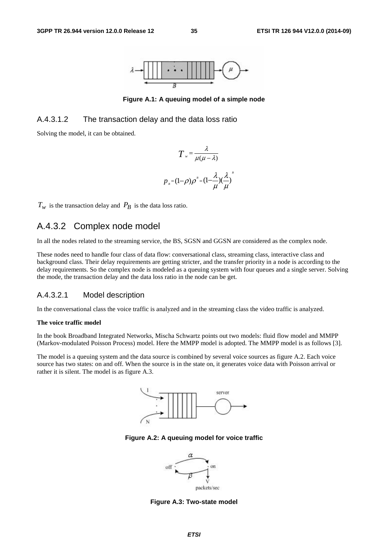

**Figure A.1: A queuing model of a simple node** 

### A.4.3.1.2 The transaction delay and the data loss ratio

Solving the model, it can be obtained.

$$
T = \frac{\lambda}{\mu(\mu - \lambda)}
$$

$$
p_{B} = (1 - \rho)\rho^{B} = (1 - \frac{\lambda}{\mu})(\frac{\lambda}{\mu})
$$

*B*

 $T_w$  is the transaction delay and  $P_B$  is the data loss ratio.

## A.4.3.2 Complex node model

In all the nodes related to the streaming service, the BS, SGSN and GGSN are considered as the complex node.

These nodes need to handle four class of data flow: conversational class, streaming class, interactive class and background class. Their delay requirements are getting stricter, and the transfer priority in a node is according to the delay requirements. So the complex node is modeled as a queuing system with four queues and a single server. Solving the mode, the transaction delay and the data loss ratio in the node can be get.

### A.4.3.2.1 Model description

In the conversational class the voice traffic is analyzed and in the streaming class the video traffic is analyzed.

#### **The voice traffic model**

In the book Broadband Integrated Networks, Mischa Schwartz points out two models: fluid flow model and MMPP (Markov-modulated Poisson Process) model. Here the MMPP model is adopted. The MMPP model is as follows [3].

The model is a queuing system and the data source is combined by several voice sources as figure A.2. Each voice source has two states: on and off. When the source is in the state on, it generates voice data with Poisson arrival or rather it is silent. The model is as figure A.3.



**Figure A.2: A queuing model for voice traffic** 



**Figure A.3: Two-state model**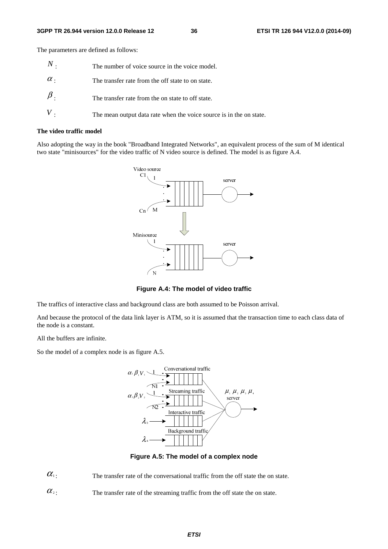The parameters are defined as follows:

| $\,N$ .    | The number of voice source in the voice model.                      |
|------------|---------------------------------------------------------------------|
| $\alpha$ . | The transfer rate from the off state to on state.                   |
| $\beta$ .  | The transfer rate from the on state to off state.                   |
|            | The mean output data rate when the voice source is in the on state. |

#### **The video traffic model**

Also adopting the way in the book "Broadband Integrated Networks", an equivalent process of the sum of M identical two state "minisources" for the video traffic of N video source is defined. The model is as figure A.4.



**Figure A.4: The model of video traffic** 

The traffics of interactive class and background class are both assumed to be Poisson arrival.

And because the protocol of the data link layer is ATM, so it is assumed that the transaction time to each class data of the node is a constant.

All the buffers are infinite.

So the model of a complex node is as figure A.5.



**Figure A.5: The model of a complex node** 

 $\alpha_1$ : The transfer rate of the conversational traffic from the off state the on state.

 $\alpha$ <sup>2</sup>: The transfer rate of the streaming traffic from the off state the on state.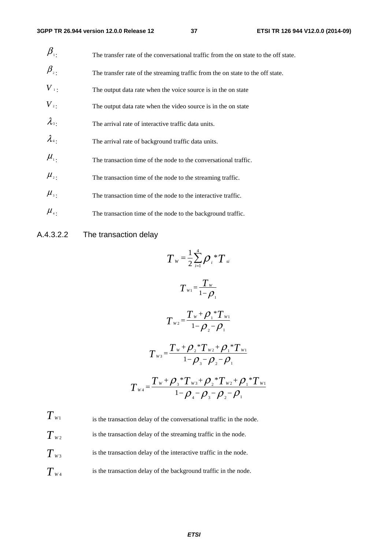| $\beta_{\scriptscriptstyle{\overline{1}}}$ . | The transfer rate of the conversational traffic from the on state to the off state. |
|----------------------------------------------|-------------------------------------------------------------------------------------|
| $\beta_{\scriptscriptstyle 2}$               | The transfer rate of the streaming traffic from the on state to the off state.      |
| $V_{\perp}$                                  | The output data rate when the voice source is in the on state                       |
| $V_{2}$ .                                    | The output data rate when the video source is in the on state                       |
| $\lambda_{3}$                                | The arrival rate of interactive traffic data units.                                 |
| $\lambda_{4}$                                | The arrival rate of background traffic data units.                                  |
| $\mu_{\scriptscriptstyle 1}$ .               | The transaction time of the node to the conversational traffic.                     |
| $\mu_{\scriptscriptstyle 2}$ .               | The transaction time of the node to the streaming traffic.                          |
| $\mu_{\scriptscriptstyle 3}$ .               | The transaction time of the node to the interactive traffic.                        |
| $\mu_{\scriptscriptstyle{4}}$ .              | The transaction time of the node to the background traffic.                         |

## A.4.3.2.2 The transaction delay

$$
T_{w} = \frac{1}{2} \sum_{i=1}^{4} \rho_{i} {}^{*}T_{si}
$$
\n
$$
T_{w1} = \frac{T_{w}}{1-\rho_{1}}
$$
\n
$$
T_{w2} = \frac{T_{w} + \rho_{1} {}^{*}T_{w1}}{1-\rho_{2} - \rho_{1}}
$$
\n
$$
T_{w3} = \frac{T_{w} + \rho_{2} {}^{*}T_{w2} + \rho_{1} {}^{*}T_{w1}}{1-\rho_{3} - \rho_{2} - \rho_{1}}
$$
\n
$$
T_{w4} = \frac{T_{w} + \rho_{3} {}^{*}T_{w3} + \rho_{2} {}^{*}T_{w2} + \rho_{1} {}^{*}T_{w1}}{1-\rho_{4} - \rho_{3} - \rho_{2} - \rho_{1}}
$$

 $T_{W1}$  is the transaction delay of the conversational traffic in the node.  $T_{W2}$  is the transaction delay of the streaming traffic in the node.  $T_{w3}$  is the transaction delay of the interactive traffic in the node.  $T_{w_4}$  is the transaction delay of the background traffic in the node.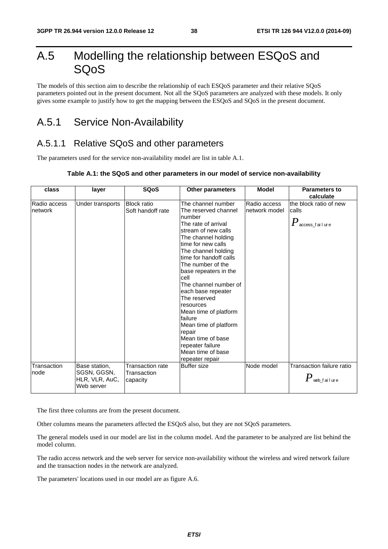# A.5 Modelling the relationship between ESQoS and SQoS

The models of this section aim to describe the relationship of each ESQoS parameter and their relative SQoS parameters pointed out in the present document. Not all the SQoS parameters are analyzed with these models. It only gives some example to justify how to get the mapping between the ESQoS and SQoS in the present document.

# A.5.1 Service Non-Availability

## A.5.1.1 Relative SQoS and other parameters

The parameters used for the service non-availability model are list in table A.1.

### **Table A.1: the SQoS and other parameters in our model of service non-availability**

| class                                  | layer                                                        | <b>SQoS</b>                                                 | Other parameters                                                                                                                                                                                                                                                                                                                                                                                                                                                                                                 | <b>Model</b>                                | <b>Parameters to</b><br>calculate                                                            |
|----------------------------------------|--------------------------------------------------------------|-------------------------------------------------------------|------------------------------------------------------------------------------------------------------------------------------------------------------------------------------------------------------------------------------------------------------------------------------------------------------------------------------------------------------------------------------------------------------------------------------------------------------------------------------------------------------------------|---------------------------------------------|----------------------------------------------------------------------------------------------|
| Radio access<br>network<br>Transaction | Under transports                                             | <b>Block ratio</b><br>Soft handoff rate<br>Transaction rate | The channel number<br>The reserved channel<br>number<br>The rate of arrival<br>stream of new calls<br>The channel holding<br>time for new calls<br>The channel holding<br>time for handoff calls<br>The number of the<br>base repeaters in the<br>cell<br>The channel number of<br>each base repeater<br>The reserved<br>resources<br>Mean time of platform<br>failure<br>Mean time of platform<br>repair<br>Mean time of base<br>repeater failure<br>Mean time of base<br>repeater repair<br><b>Buffer</b> size | Radio access<br>network model<br>Node model | the block ratio of new<br>calls<br>$P_{\,\rm access\_fail}$ ure<br>Transaction failure ratio |
| node                                   | Base station,<br>SGSN, GGSN,<br>HLR, VLR, AuC,<br>Web server | Transaction<br>capacity                                     |                                                                                                                                                                                                                                                                                                                                                                                                                                                                                                                  |                                             | $P$ web_failure                                                                              |

The first three columns are from the present document.

Other columns means the parameters affected the ESQoS also, but they are not SQoS parameters.

The general models used in our model are list in the column model. And the parameter to be analyzed are list behind the model column.

The radio access network and the web server for service non-availability without the wireless and wired network failure and the transaction nodes in the network are analyzed.

The parameters' locations used in our model are as figure A.6.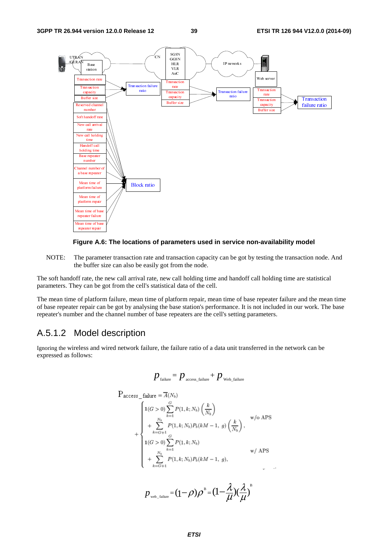



NOTE: The parameter transaction rate and transaction capacity can be got by testing the transaction node. And the buffer size can also be easily got from the node.

The soft handoff rate, the new call arrival rate, new call holding time and handoff call holding time are statistical parameters. They can be got from the cell's statistical data of the cell.

The mean time of platform failure, mean time of platform repair, mean time of base repeater failure and the mean time of base repeater repair can be got by analysing the base station's performance. It is not included in our work. The base repeater's number and the channel number of base repeaters are the cell's setting parameters.

## A.5.1.2 Model description

Ignoring the wireless and wired network failure, the failure ratio of a data unit transferred in the network can be expressed as follows:

$$
p_{\text{failure}} = p_{\text{access\_failure}} + p_{\text{web\_failure}}
$$

$$
P_{access\_failure} = \overline{A}(N_b)
$$
\n
$$
+ \begin{cases}\n1(G > 0) \sum_{k=1}^{G} P(1, k; N_b) \left(\frac{k}{N_b}\right) & \text{w/o APS} \\
+ \sum_{k=G+1}^{N_b} P(1, k; N_b) P_b(kM - 1, g) \left(\frac{k}{N_b}\right), & \text{w/o APS} \\
1(G > 0) \sum_{k=1}^{G} P(1, k; N_b) & \text{w/ APS} \\
+ \sum_{k=G+1}^{N_b} P(1, k; N_b) P_b(kM - 1, g), & \text{w/ APS}\n\end{cases}
$$

$$
p_{\text{web\_failure}} = (1 - \rho)\rho^B = (1 - \frac{\lambda}{\mu})(\frac{\lambda}{\mu})^B
$$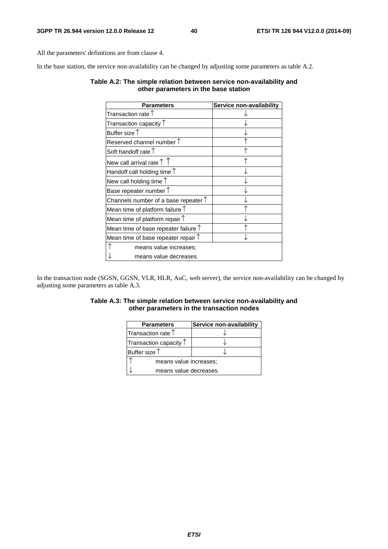All the parameters' definitions are from clause 4.

In the base station, the service non-availability can be changed by adjusting some parameters as table A.2.

### **Table A.2: The simple relation between service non-availability and other parameters in the base station**

| <b>Parameters</b>                             | Service non-availability |
|-----------------------------------------------|--------------------------|
| Transaction rate $\uparrow$                   |                          |
| Transaction capacity $\uparrow$               |                          |
| Buffer size $\uparrow$                        |                          |
| Reserved channel number $\uparrow$            |                          |
| Soft handoff rate $\uparrow$                  |                          |
| New call arrival rate $\uparrow \uparrow$     |                          |
| Handoff call holding time $\uparrow$          |                          |
| New call holding time $\uparrow$              |                          |
| Base repeater number $\uparrow$               |                          |
| Channels number of a base repeater $\uparrow$ |                          |
| Mean time of platform failure $\uparrow$      |                          |
| Mean time of platform repair $\uparrow$       |                          |
| Mean time of base repeater failure $\uparrow$ |                          |
| Mean time of base repeater repair $\uparrow$  |                          |
| means value increases;                        |                          |
| means value decreases.                        |                          |

In the transaction node (SGSN, GGSN, VLR, HLR, AuC, web server), the service non-availability can be changed by adjusting some parameters as table A.3.

### **Table A.3: The simple relation between service non-availability and other parameters in the transaction nodes**

| <b>Parameters</b>               | Service non-availability |  |
|---------------------------------|--------------------------|--|
| Transaction rate $\uparrow$     |                          |  |
| Transaction capacity $\uparrow$ |                          |  |
| Buffer size $\uparrow$          |                          |  |
| means value increases;          |                          |  |
| means value decreases.          |                          |  |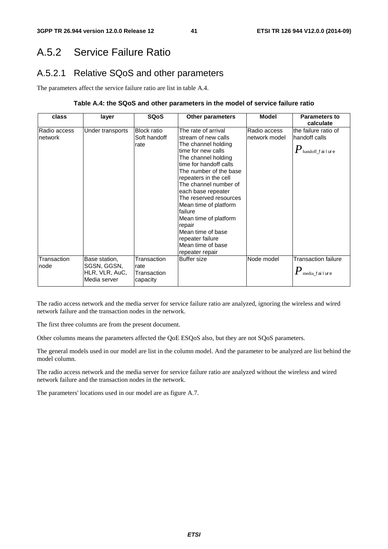# A.5.2 Service Failure Ratio

# A.5.2.1 Relative SQoS and other parameters

The parameters affect the service failure ratio are list in table A.4.

### **Table A.4: the SQoS and other parameters in the model of service failure ratio**

| class                   | layer                                                          | <b>SQoS</b>                                    | <b>Other parameters</b>                                                                                                                                                                                                                                                                                                                                                                                                       | <b>Model</b>                  | <b>Parameters to</b><br>calculate                                                    |
|-------------------------|----------------------------------------------------------------|------------------------------------------------|-------------------------------------------------------------------------------------------------------------------------------------------------------------------------------------------------------------------------------------------------------------------------------------------------------------------------------------------------------------------------------------------------------------------------------|-------------------------------|--------------------------------------------------------------------------------------|
| Radio access<br>network | Under transports                                               | <b>Block ratio</b><br>Soft handoff<br>rate     | The rate of arrival<br>stream of new calls<br>The channel holding<br>time for new calls<br>The channel holding<br>time for handoff calls<br>The number of the base<br>repeaters in the cell<br>The channel number of<br>each base repeater<br>The reserved resources<br>Mean time of platform<br>lfailure<br>Mean time of platform<br>repair<br>Mean time of base<br>repeater failure<br>Mean time of base<br>repeater repair | Radio access<br>network model | the failure ratio of<br>handoff calls<br>$\boldsymbol{P}_{\text{handoff\_f}}$ ailure |
| Transaction<br>node     | Base station,<br>SGSN, GGSN,<br>HLR, VLR, AuC,<br>Media server | Transaction<br>rate<br>Transaction<br>capacity | Buffer size                                                                                                                                                                                                                                                                                                                                                                                                                   | Node model                    | <b>Transaction failure</b><br>$\pmb{P}$ media_failure                                |

The radio access network and the media server for service failure ratio are analyzed, ignoring the wireless and wired network failure and the transaction nodes in the network.

The first three columns are from the present document.

Other columns means the parameters affected the QoE ESQoS also, but they are not SQoS parameters.

The general models used in our model are list in the column model. And the parameter to be analyzed are list behind the model column.

The radio access network and the media server for service failure ratio are analyzed without the wireless and wired network failure and the transaction nodes in the network.

The parameters' locations used in our model are as figure A.7.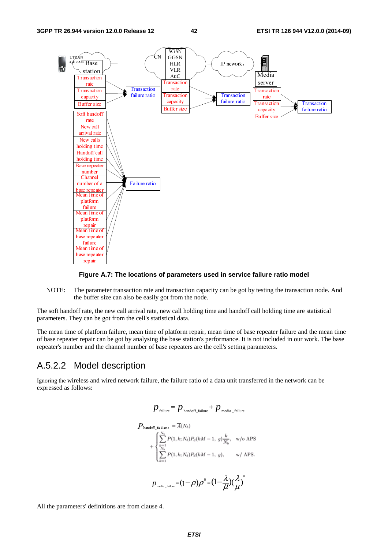

#### **Figure A.7: The locations of parameters used in service failure ratio model**

NOTE: The parameter transaction rate and transaction capacity can be got by testing the transaction node. And the buffer size can also be easily got from the node.

The soft handoff rate, the new call arrival rate, new call holding time and handoff call holding time are statistical parameters. They can be got from the cell's statistical data.

The mean time of platform failure, mean time of platform repair, mean time of base repeater failure and the mean time of base repeater repair can be got by analysing the base station's performance. It is not included in our work. The base repeater's number and the channel number of base repeaters are the cell's setting parameters.

### A.5.2.2 Model description

Ignoring the wireless and wired network failure, the failure ratio of a data unit transferred in the network can be expressed as follows:

$$
p_{\text{failure}} = p_{\text{handoff\_failure}} + p_{\text{media\_failure}}
$$
\n
$$
P_{\text{handoff\_failure}} = \overline{A}(N_b)
$$
\n
$$
+ \begin{cases} \sum_{k=1}^{N_b} P(1, k; N_b) P_d(kM - 1, g) \frac{k}{N_b}, & \text{w/o APS} \\ \sum_{k=1}^{N_b} P(1, k; N_b) P_d(kM - 1, g), & \text{w/APS.} \end{cases}
$$
\n
$$
p_{\text{median\_failure}} = (1 - \rho) \rho^B = (1 - \frac{\lambda}{\mu})(\frac{\lambda}{\mu})^B
$$

All the parameters' definitions are from clause 4.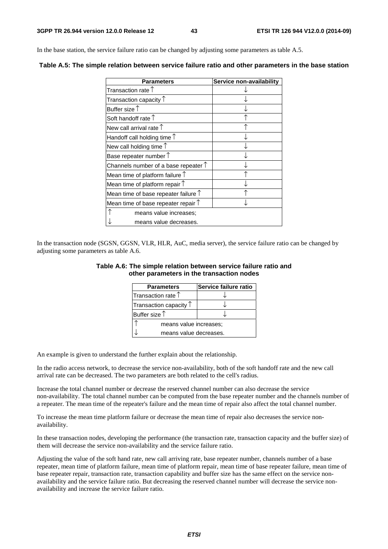In the base station, the service failure ratio can be changed by adjusting some parameters as table A.5.

| <b>Parameters</b>                             | Service non-availability |
|-----------------------------------------------|--------------------------|
| Transaction rate $\uparrow$                   |                          |
| Transaction capacity $\uparrow$               |                          |
| Buffer size $\uparrow$                        |                          |
| Soft handoff rate $\uparrow$                  |                          |
| New call arrival rate $\uparrow$              |                          |
| Handoff call holding time $\uparrow$          |                          |
| New call holding time $\uparrow$              |                          |
| Base repeater number $\uparrow$               |                          |
| Channels number of a base repeater $\uparrow$ |                          |
| Mean time of platform failure $\uparrow$      |                          |
| Mean time of platform repair $\uparrow$       |                          |
| Mean time of base repeater failure $\uparrow$ |                          |
| Mean time of base repeater repair $\uparrow$  |                          |
| means value increases;                        |                          |
| means value decreases.                        |                          |

**Table A.5: The simple relation between service failure ratio and other parameters in the base station** 

In the transaction node (SGSN, GGSN, VLR, HLR, AuC, media server), the service failure ratio can be changed by adjusting some parameters as table A.6.

| Table A.6: The simple relation between service failure ratio and |  |  |
|------------------------------------------------------------------|--|--|
| other parameters in the transaction nodes                        |  |  |

| <b>Parameters</b>               | Service failure ratio |  |
|---------------------------------|-----------------------|--|
| Transaction rate $\uparrow$     |                       |  |
| Transaction capacity $\uparrow$ |                       |  |
| Buffer size $\uparrow$          |                       |  |
| means value increases;          |                       |  |
| means value decreases.          |                       |  |

An example is given to understand the further explain about the relationship.

In the radio access network, to decrease the service non-availability, both of the soft handoff rate and the new call arrival rate can be decreased. The two parameters are both related to the cell's radius.

Increase the total channel number or decrease the reserved channel number can also decrease the service non-availability. The total channel number can be computed from the base repeater number and the channels number of a repeater. The mean time of the repeater's failure and the mean time of repair also affect the total channel number.

To increase the mean time platform failure or decrease the mean time of repair also decreases the service nonavailability.

In these transaction nodes, developing the performance (the transaction rate, transaction capacity and the buffer size) of them will decrease the service non-availability and the service failure ratio.

Adjusting the value of the soft hand rate, new call arriving rate, base repeater number, channels number of a base repeater, mean time of platform failure, mean time of platform repair, mean time of base repeater failure, mean time of base repeater repair, transaction rate, transaction capability and buffer size has the same effect on the service nonavailability and the service failure ratio. But decreasing the reserved channel number will decrease the service nonavailability and increase the service failure ratio.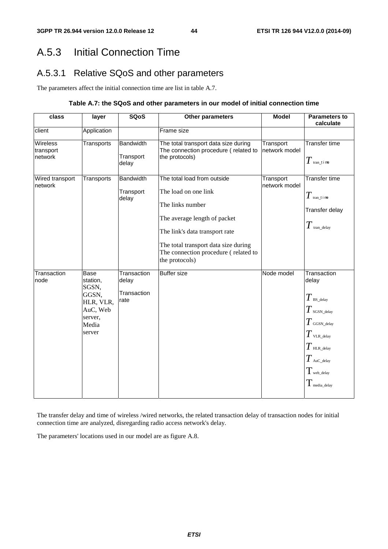# A.5.3 Initial Connection Time

# A.5.3.1 Relative SQoS and other parameters

The parameters affect the initial connection time are list in table A.7.

### **Table A.7: the SQoS and other parameters in our model of initial connection time**

| class                            | layer                                                                                            | <b>SQoS</b>                                 | Other parameters                                                                                                                                                                                                                            | <b>Model</b>               | <b>Parameters to</b><br>calculate                                                                                                                                                                         |
|----------------------------------|--------------------------------------------------------------------------------------------------|---------------------------------------------|---------------------------------------------------------------------------------------------------------------------------------------------------------------------------------------------------------------------------------------------|----------------------------|-----------------------------------------------------------------------------------------------------------------------------------------------------------------------------------------------------------|
| client                           | Application                                                                                      |                                             | Frame size                                                                                                                                                                                                                                  |                            |                                                                                                                                                                                                           |
| Wireless<br>transport<br>network | Transports                                                                                       | <b>Bandwidth</b><br>Transport<br>delay      | The total transport data size during<br>The connection procedure (related to<br>the protocols)                                                                                                                                              | Transport<br>network model | Transfer time<br>$T$ tran_t i me                                                                                                                                                                          |
| Wired transport<br>network       | Transports                                                                                       | <b>Bandwidth</b><br>Transport<br>delay      | The total load from outside<br>The load on one link<br>The links number<br>The average length of packet<br>The link's data transport rate<br>The total transport data size during<br>The connection procedure (related to<br>the protocols) | Transport<br>network model | Transfer time<br>$T$ tran_t i me<br>Transfer delay<br>$T$ tran_delay                                                                                                                                      |
| Transaction<br>node              | <b>Base</b><br>station.<br>SGSN,<br>GGSN,<br>HLR, VLR,<br>AuC, Web<br>server,<br>Media<br>server | Transaction<br>delay<br>Transaction<br>rate | <b>Buffer size</b>                                                                                                                                                                                                                          | Node model                 | Transaction<br>delay<br>$T$ BS_delay<br>$T_{\,\rm SGSN\_delay}$<br>$T$ GGSN_delay<br>$T$ vlr._delay<br>$T$ HLR_delay<br>$T$ AuC_delay<br>$T_{\scriptscriptstyle\rm web\_delay}$<br>$T_{\rm media\_delay}$ |

The transfer delay and time of wireless /wired networks, the related transaction delay of transaction nodes for initial connection time are analyzed, disregarding radio access network's delay.

The parameters' locations used in our model are as figure A.8.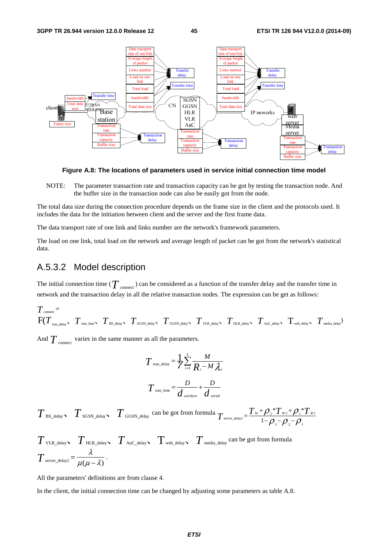

**Figure A.8: The locations of parameters used in service initial connection time model** 

NOTE: The parameter transaction rate and transaction capacity can be got by testing the transaction node. And the buffer size in the transaction node can also be easily got from the node.

The total data size during the connection procedure depends on the frame size in the client and the protocols used. It includes the data for the initiation between client and the server and the first frame data.

The data transport rate of one link and links number are the network's framework parameters.

The load on one link, total load on the network and average length of packet can be got from the network's statistical data.

### A.5.3.2 Model description

The initial connection time ( $T$  <sub>connect</sub>) can be considered as a function of the transfer delay and the transfer time in network and the transaction delay in all the relative transaction nodes. The expression can be get as follows:

$$
T_{\text{connect}} = \nF(T_{\text{tran\_delay}}, T_{\text{tran\_time}}, T_{\text{BS\_delay}}, T_{\text{SGSN\_delay}}, T_{\text{GGSN\_delay}}, T_{\text{VLR\_delay}}, T_{\text{HL\_delay}}, T_{\text{Auc\_delay}}, T_{\text{web\_delay}}, T_{\text{media\_delay}})
$$

And  $T_{\text{connect}}$  varies in the same manner as all the parameters.

$$
T_{\text{tran\_delay}} = \frac{1}{\gamma} \sum_{i=1}^{L} \frac{M}{R_i - M \lambda_i}
$$

$$
T_{\text{tran\_time}} = \frac{D}{d_{\text{wireless}}} + \frac{D}{d_{\text{wire}}
$$

 $T$  BS\_delay  $T$  SGSN\_delay  $T$  GGSN\_delay can be got from formula  $T$  server\_delay1 =  $\frac{T_w + \rho_z * T_{wz} + \rho_1 * T_{w1}}{1 - \rho_z + \rho_z + \rho_1}$ 3  $\mathcal{V}$  2  $\mathcal{V}$  1 \* $T_{w}$ + $Q$ .\*  $T_{\text{server\_delay1}} = \frac{T_w + \rho_{2} * T_{w2} + \rho_{1} * T_w}{1 - \rho_{3} - \rho_{2} - \rho_{1}}$ 

$$
T_{\text{VLR\_delay}} \sum_{\text{HLR\_delay}} T_{\text{HLR\_delay}} \sum_{\text{Auc\_delay}} T_{\text{web\_delay}} \sum_{\text{median}} T_{\text{median}} \text{ can be got from formula}
$$
  

$$
T_{\text{server\_delay}} = \frac{\lambda}{\mu(\mu - \lambda)}.
$$

All the parameters' definitions are from clause 4.

In the client, the initial connection time can be changed by adjusting some parameters as table A.8.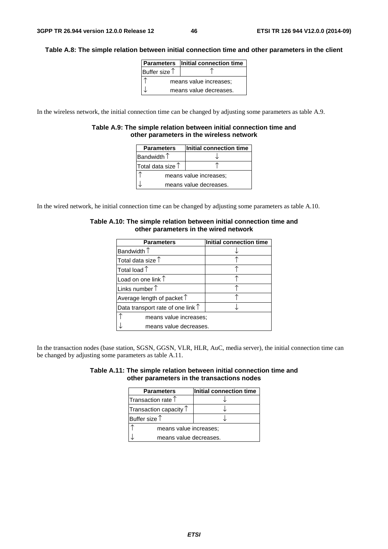### **Table A.8: The simple relation between initial connection time and other parameters in the client**

|                        | Parameters   Initial connection time |  |
|------------------------|--------------------------------------|--|
| Buffer size $\uparrow$ |                                      |  |
| means value increases; |                                      |  |
| means value decreases. |                                      |  |

In the wireless network, the initial connection time can be changed by adjusting some parameters as table A.9.

#### **Table A.9: The simple relation between initial connection time and other parameters in the wireless network**

| <b>Parameters</b>          | Initial connection time |  |
|----------------------------|-------------------------|--|
| Bandwidth $\uparrow$       |                         |  |
| Total data size $\uparrow$ |                         |  |
| means value increases:     |                         |  |
| means value decreases.     |                         |  |

In the wired network, he initial connection time can be changed by adjusting some parameters as table A.10.

| <b>Parameters</b>                          | Initial connection time |  |
|--------------------------------------------|-------------------------|--|
| Bandwidth $\uparrow$                       |                         |  |
| Total data size $\uparrow$                 |                         |  |
| Total load $\mathop{\uparrow}$             |                         |  |
| Load on one link $\uparrow$                |                         |  |
| Links number $\uparrow$                    |                         |  |
| Average length of packet $\uparrow$        |                         |  |
| Data transport rate of one link $\uparrow$ |                         |  |
| means value increases:                     |                         |  |
| means value decreases.                     |                         |  |

#### **Table A.10: The simple relation between initial connection time and other parameters in the wired network**

In the transaction nodes (base station, SGSN, GGSN, VLR, HLR, AuC, media server), the initial connection time can be changed by adjusting some parameters as table A.11.

| Table A.11: The simple relation between initial connection time and |                                            |  |
|---------------------------------------------------------------------|--------------------------------------------|--|
|                                                                     | other parameters in the transactions nodes |  |

| <b>Parameters</b>               | Initial connection time |  |
|---------------------------------|-------------------------|--|
| Transaction rate $\uparrow$     |                         |  |
| Transaction capacity $\uparrow$ |                         |  |
| Buffer size $\uparrow$          |                         |  |
| means value increases:          |                         |  |
| means value decreases.          |                         |  |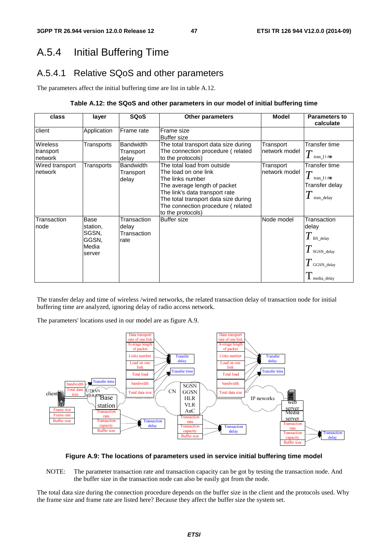# A.5.4 Initial Buffering Time

## A.5.4.1 Relative SQoS and other parameters

The parameters affect the initial buffering time are list in table A.12.

### **Table A.12: the SQoS and other parameters in our model of initial buffering time**

| class                                   | layer                                                 | <b>SQoS</b>                                 | Other parameters                                                                                                                                                                                                                            | <b>Model</b>                | <b>Parameters to</b><br>calculate                                                                                        |
|-----------------------------------------|-------------------------------------------------------|---------------------------------------------|---------------------------------------------------------------------------------------------------------------------------------------------------------------------------------------------------------------------------------------------|-----------------------------|--------------------------------------------------------------------------------------------------------------------------|
| client                                  | Application                                           | Frame rate                                  | Frame size<br><b>Buffer size</b>                                                                                                                                                                                                            |                             |                                                                                                                          |
| <b>Wireless</b><br>transport<br>network | Transports                                            | <b>Bandwidth</b><br>Transport<br>delay      | The total transport data size during<br>The connection procedure (related<br>to the protocols)                                                                                                                                              | Transport<br>Inetwork model | Transfer time<br>tran time                                                                                               |
| Wired transport<br>network              | Transports                                            | <b>Bandwidth</b><br>Transport<br>delay      | The total load from outside<br>The load on one link<br>The links number<br>The average length of packet<br>The link's data transport rate<br>The total transport data size during<br>The connection procedure (related<br>to the protocols) | Transport<br>network model  | Transfer time<br>$\overline{T}$<br>tran time<br>Transfer delay<br>tran_delay                                             |
| Transaction<br>node                     | Base<br>station,<br>SGSN,<br>GGSN,<br>Media<br>server | Transaction<br>delay<br>Transaction<br>rate | <b>Buffer size</b>                                                                                                                                                                                                                          | Node model                  | Transaction<br>delay<br>$T$ BS_delay<br>$T{\scriptstyle_{\rm SGSN\_delay}}$<br>$T$ GGSN_delay<br>$\mathbf 1$ media_delay |

The transfer delay and time of wireless /wired networks, the related transaction delay of transaction node for initial buffering time are analyzed, ignoring delay of radio access network.

The parameters' locations used in our model are as figure A.9.



### **Figure A.9: The locations of parameters used in service initial buffering time model**

NOTE: The parameter transaction rate and transaction capacity can be got by testing the transaction node. And the buffer size in the transaction node can also be easily got from the node.

The total data size during the connection procedure depends on the buffer size in the client and the protocols used. Why the frame size and frame rate are listed here? Because they affect the buffer size the system set.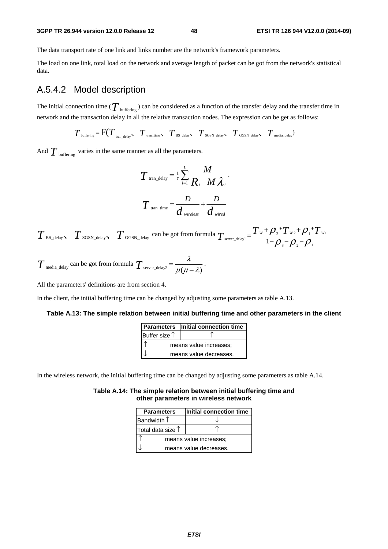#### **3GPP TR 26.944 version 12.0.0 Release 12 48 ETSI TR 126 944 V12.0.0 (2014-09)**

The data transport rate of one link and links number are the network's framework parameters.

The load on one link, total load on the network and average length of packet can be got from the network's statistical data.

### A.5.4.2 Model description

The initial connection time ( $T_{\text{buffering}}$ ) can be considered as a function of the transfer delay and the transfer time in network and the transaction delay in all the relative transaction nodes. The expression can be get as follows:

 $T_{\text{buffering}} = \text{F}(T_{\text{tran delay}}, T_{\text{tran time}}, T_{\text{BS delay}}, T_{\text{SGSN delay}}, T_{\text{GGSN delay}}, T_{\text{median}})$ 

And  $T_{\text{buffering}}$  varies in the same manner as all the parameters.

$$
T_{\text{tran\_delay}} = \frac{1}{\gamma} \sum_{i=1}^{L} \frac{M}{R_i - M \lambda_i}.
$$

$$
T_{\text{tran\_time}} = \frac{D}{d_{\text{wireless}}} + \frac{D}{d_{\text{wireed}}}
$$

 $T$  BS\_delay  $T$  SGSN\_delay  $T$  GGSN\_delay can be got from formula  $T$ <sub>server\_delay1</sub> =  $\frac{T_w + \rho_z * T_{wz} + \rho_1 * T_{w1}}{1 - \rho_z + \rho_z}$ 3  ${\cal F}$  2  ${\cal F}$  1  $*T_{w}$ + $\mathcal{O}.*$  $T_{\text{server\_delay1}} = \frac{T_w + \rho_{_2} * T_{w_2} + \rho_{_1} * T_w}{1 - \rho_{_3} - \rho_{_2} - \rho_{_1}}$ 

$$
T_{\text{median\_delay}}
$$
 can be got from formula  $T_{\text{server\_delay2}} = \frac{\lambda}{\mu(\mu - \lambda)}$ .

All the parameters' definitions are from section 4.

In the client, the initial buffering time can be changed by adjusting some parameters as table A.13.

#### **Table A.13: The simple relation between initial buffering time and other parameters in the client**

|                        | <b>Parameters</b> Initial connection time |
|------------------------|-------------------------------------------|
| Buffer size $\uparrow$ |                                           |
|                        | means value increases;                    |
|                        | means value decreases.                    |

In the wireless network, the initial buffering time can be changed by adjusting some parameters as table A.14.

**Table A.14: The simple relation between initial buffering time and other parameters in wireless network** 

| <b>Parameters</b>          | Initial connection time |  |  |  |
|----------------------------|-------------------------|--|--|--|
| Bandwidth $\uparrow$       |                         |  |  |  |
| Total data size $\uparrow$ |                         |  |  |  |
| means value increases;     |                         |  |  |  |
|                            | means value decreases.  |  |  |  |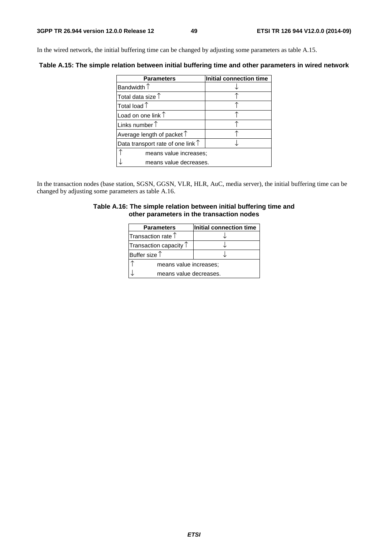In the wired network, the initial buffering time can be changed by adjusting some parameters as table A.15.

**Table A.15: The simple relation between initial buffering time and other parameters in wired network** 

| <b>Parameters</b>                          | Initial connection time |  |  |  |
|--------------------------------------------|-------------------------|--|--|--|
| Bandwidth $\uparrow$                       |                         |  |  |  |
| Total data size $\uparrow$                 |                         |  |  |  |
| Total load $\uparrow$                      |                         |  |  |  |
| Load on one link $\uparrow$                |                         |  |  |  |
| Links number $\uparrow$                    |                         |  |  |  |
| Average length of packet $\uparrow$        |                         |  |  |  |
| Data transport rate of one link $\uparrow$ |                         |  |  |  |
| means value increases;                     |                         |  |  |  |
| means value decreases.                     |                         |  |  |  |

In the transaction nodes (base station, SGSN, GGSN, VLR, HLR, AuC, media server), the initial buffering time can be changed by adjusting some parameters as table A.16.

### **Table A.16: The simple relation between initial buffering time and other parameters in the transaction nodes**

| <b>Parameters</b>               | Initial connection time |  |  |  |
|---------------------------------|-------------------------|--|--|--|
| Transaction rate $\uparrow$     |                         |  |  |  |
| Transaction capacity $\uparrow$ |                         |  |  |  |
| Buffer size $\uparrow$          |                         |  |  |  |
| means value increases;          |                         |  |  |  |
| means value decreases.          |                         |  |  |  |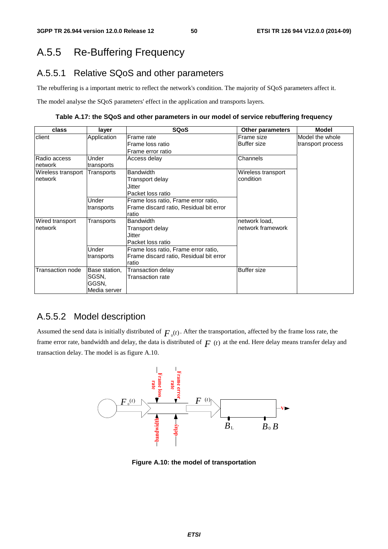# A.5.5 Re-Buffering Frequency

## A.5.5.1 Relative SQoS and other parameters

The rebuffering is a important metric to reflect the network's condition. The majority of SQoS parameters affect it.

The model analyse the SQoS parameters' effect in the application and transports layers.

**Table A.17: the SQoS and other parameters in our model of service rebuffering frequency** 

| class              | layer         | <b>SQoS</b>                             | <b>Other parameters</b> | <b>Model</b>      |
|--------------------|---------------|-----------------------------------------|-------------------------|-------------------|
| client             | Application   | Frame rate                              | Frame size              | Model the whole   |
|                    |               | Frame loss ratio                        | <b>Buffer size</b>      | transport process |
|                    |               | Frame error ratio                       |                         |                   |
| Radio access       | Under         | Access delay                            | Channels                |                   |
| network            | transports    |                                         |                         |                   |
| Wireless transport | Transports    | <b>Bandwidth</b>                        | Wireless transport      |                   |
| network            |               | Transport delay                         | condition               |                   |
|                    |               | Jitter                                  |                         |                   |
|                    |               | Packet loss ratio                       |                         |                   |
|                    | Under         | Frame loss ratio, Frame error ratio,    |                         |                   |
|                    | transports    | Frame discard ratio, Residual bit error |                         |                   |
|                    |               | ratio                                   |                         |                   |
| Wired transport    | Transports    | <b>Bandwidth</b>                        | network load,           |                   |
| network            |               | Transport delay                         | network framework       |                   |
|                    |               | Jitter                                  |                         |                   |
|                    |               | Packet loss ratio                       |                         |                   |
|                    | Under         | Frame loss ratio, Frame error ratio,    |                         |                   |
|                    | transports    | Frame discard ratio, Residual bit error |                         |                   |
|                    |               | ratio                                   |                         |                   |
| Transaction node   | Base station, | Transaction delay                       | <b>Buffer size</b>      |                   |
|                    | SGSN,         | Transaction rate                        |                         |                   |
|                    | GGSN,         |                                         |                         |                   |
|                    | Media server  |                                         |                         |                   |

## A.5.5.2 Model description

Assumed the send data is initially distributed of  $F_0(t)$ . After the transportation, affected by the frame loss rate, the frame error rate, bandwidth and delay, the data is distributed of  $F(t)$  at the end. Here delay means transfer delay and transaction delay. The model is as figure A.10.



**Figure A.10: the model of transportation**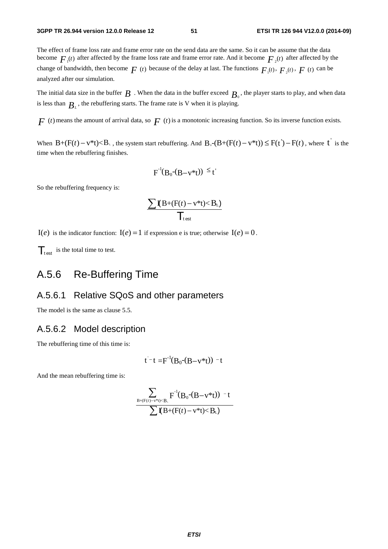The effect of frame loss rate and frame error rate on the send data are the same. So it can be assume that the data become  $F_{\mu}(t)$  after affected by the frame loss rate and frame error rate. And it become  $F_{\mu}(t)$  after affected by the change of bandwidth, then become  $F(t)$  because of the delay at last. The functions  $F_1(t)$ ,  $F_2(t)$ ,  $F(t)$  can be analyzed after our simulation.

The initial data size in the buffer  $B$ . When the data in the buffer exceed  $B_0$ , the player starts to play, and when data is less than  $B<sub>i</sub>$ , the rebuffering starts. The frame rate is V when it is playing.

 $F(t)$  means the amount of arrival data, so  $F(t)$  is a monotonic increasing function. So its inverse function exists.

When  $B+(F(t)-v^*t) < B_+$ , the system start rebuffering. And  $B_0-(B+(F(t)-v^*t)) \leq F(t')-F(t)$ , where  $t'$  is the time when the rebuffering finishes.

$$
F^{-1}(B_0-(B-v^*t)) \leq t'
$$

So the rebuffering frequency is:

$$
\frac{\sum \mathbf{I}(B+(F(t)-v^*t)
$$

 $I(e)$  is the indicator function:  $I(e) = 1$  if expression e is true; otherwise  $I(e) = 0$ .

 $\mathcal{T}_{\text{test}}$  is the total time to test.

## A.5.6 Re-Buffering Time

### A.5.6.1 Relative SQoS and other parameters

The model is the same as clause 5.5.

### A.5.6.2 Model description

The rebuffering time of this time is:

$$
t^-t = F^{-1}(B_0-(B-v^*t)) - t
$$

And the mean rebuffering time is:

$$
\frac{\displaystyle\sum_{B+(F(t)-v^*t)
$$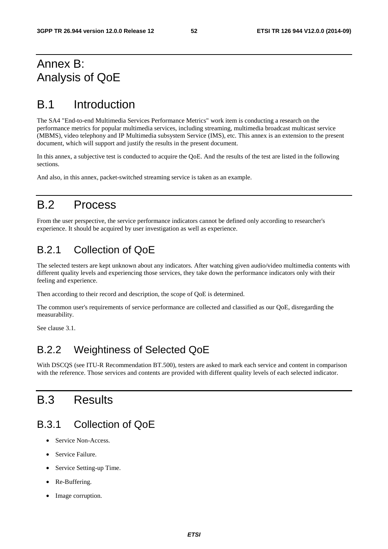# Annex B: Analysis of QoE

# B.1 Introduction

The SA4 "End-to-end Multimedia Services Performance Metrics" work item is conducting a research on the performance metrics for popular multimedia services, including streaming, multimedia broadcast multicast service (MBMS), video telephony and IP Multimedia subsystem Service (IMS), etc. This annex is an extension to the present document, which will support and justify the results in the present document.

In this annex, a subjective test is conducted to acquire the QoE. And the results of the test are listed in the following sections.

And also, in this annex, packet-switched streaming service is taken as an example.

# B.2 Process

From the user perspective, the service performance indicators cannot be defined only according to researcher's experience. It should be acquired by user investigation as well as experience.

# B.2.1 Collection of QoE

The selected testers are kept unknown about any indicators. After watching given audio/video multimedia contents with different quality levels and experiencing those services, they take down the performance indicators only with their feeling and experience.

Then according to their record and description, the scope of QoE is determined.

The common user's requirements of service performance are collected and classified as our QoE, disregarding the measurability.

See clause 3.1.

## B.2.2 Weightiness of Selected QoE

With DSCQS (see ITU-R Recommendation BT.500), testers are asked to mark each service and content in comparison with the reference. Those services and contents are provided with different quality levels of each selected indicator.

# B.3 Results

## B.3.1 Collection of QoE

- Service Non-Access.
- Service Failure.
- Service Setting-up Time.
- Re-Buffering.
- Image corruption.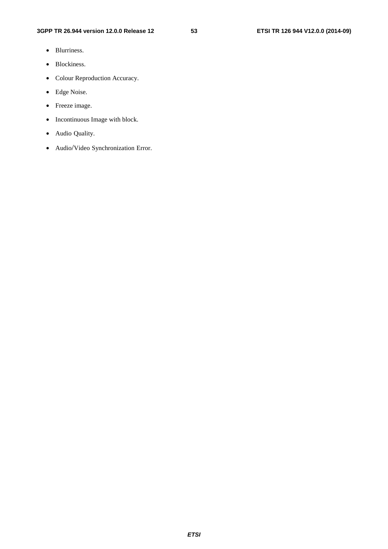- Blurriness.
- Blockiness.
- Colour Reproduction Accuracy.
- Edge Noise.
- Freeze image.
- Incontinuous Image with block.
- Audio Quality.
- Audio/Video Synchronization Error.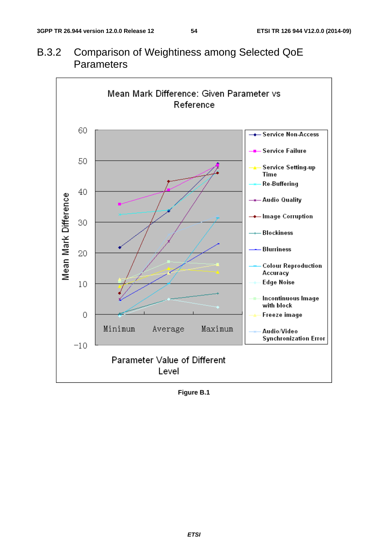

B.3.2 Comparison of Weightiness among Selected QoE **Parameters** 

**Figure B.1**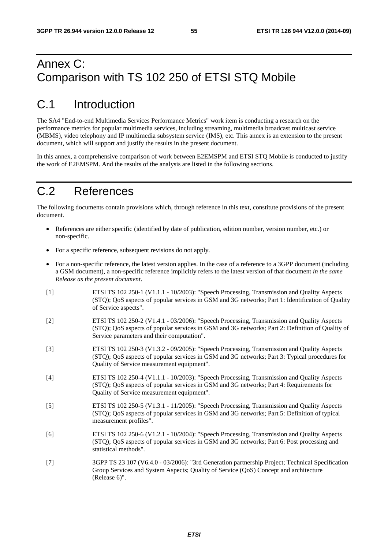# Annex C: Comparison with TS 102 250 of ETSI STQ Mobile

# C.1 Introduction

The SA4 "End-to-end Multimedia Services Performance Metrics" work item is conducting a research on the performance metrics for popular multimedia services, including streaming, multimedia broadcast multicast service (MBMS), video telephony and IP multimedia subsystem service (IMS), etc. This annex is an extension to the present document, which will support and justify the results in the present document.

In this annex, a comprehensive comparison of work between E2EMSPM and ETSI STQ Mobile is conducted to justify the work of E2EMSPM. And the results of the analysis are listed in the following sections.

# C.2 References

The following documents contain provisions which, through reference in this text, constitute provisions of the present document.

- References are either specific (identified by date of publication, edition number, version number, etc.) or non-specific.
- For a specific reference, subsequent revisions do not apply.
- For a non-specific reference, the latest version applies. In the case of a reference to a 3GPP document (including a GSM document), a non-specific reference implicitly refers to the latest version of that document *in the same Release as the present document*.
- [1] ETSI TS 102 250-1 (V1.1.1 10/2003): "Speech Processing, Transmission and Quality Aspects (STQ); QoS aspects of popular services in GSM and 3G networks; Part 1: Identification of Quality of Service aspects".
- [2] ETSI TS 102 250-2 (V1.4.1 03/2006): "Speech Processing, Transmission and Quality Aspects (STQ); QoS aspects of popular services in GSM and 3G networks; Part 2: Definition of Quality of Service parameters and their computation".
- [3] ETSI TS 102 250-3 (V1.3.2 09/2005): "Speech Processing, Transmission and Quality Aspects (STQ); QoS aspects of popular services in GSM and 3G networks; Part 3: Typical procedures for Quality of Service measurement equipment".
- [4] ETSI TS 102 250-4 (V1.1.1 10/2003): "Speech Processing, Transmission and Quality Aspects (STQ); QoS aspects of popular services in GSM and 3G networks; Part 4: Requirements for Quality of Service measurement equipment".
- [5] ETSI TS 102 250-5 (V1.3.1 11/2005): "Speech Processing, Transmission and Quality Aspects (STQ); QoS aspects of popular services in GSM and 3G networks; Part 5: Definition of typical measurement profiles".
- [6] ETSI TS 102 250-6 (V1.2.1 10/2004): "Speech Processing, Transmission and Quality Aspects (STQ); QoS aspects of popular services in GSM and 3G networks; Part 6: Post processing and statistical methods".
- [7] 3GPP TS 23 107 (V6.4.0 03/2006): "3rd Generation partnership Project; Technical Specification Group Services and System Aspects; Quality of Service (QoS) Concept and architecture (Release 6)".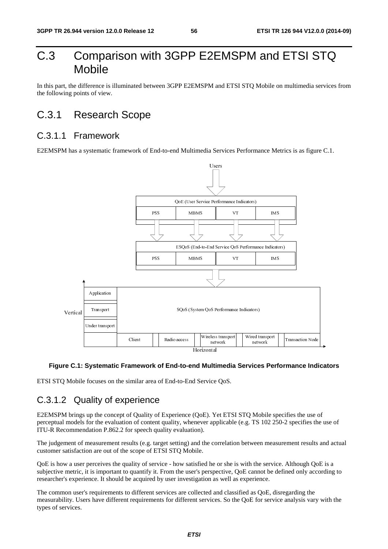# C.3 Comparison with 3GPP E2EMSPM and ETSI STQ Mobile

In this part, the difference is illuminated between 3GPP E2EMSPM and ETSI STO Mobile on multimedia services from the following points of view.

# C.3.1 Research Scope

## C.3.1.1 Framework

E2EMSPM has a systematic framework of End-to-end Multimedia Services Performance Metrics is as figure C.1.



### **Figure C.1: Systematic Framework of End-to-end Multimedia Services Performance Indicators**

ETSI STQ Mobile focuses on the similar area of End-to-End Service QoS.

## C.3.1.2 Quality of experience

Client Radio access Horizontal<br>
Horizontal<br>
Horizontal<br>
imilar area of End-to-End Service QoS.<br> **Clience**<br> **Clience**<br> **Clience**<br> **Clience**<br> **Clience**<br> **Clience**<br> **Clience**<br> **Clience**<br> **Clience**<br> **Clience**<br> **Clience**<br> **Clie** International<br>**Transferience**<br>The correl<br>The original<br>Transferience<br>The Spection<br>Transferience<br>Transferience<br>Transferience<br>Transferience<br>Transferience<br>Transferience<br>Transferience<br>Transferience<br>Transferience<br>Transferience<br>T The Mobile strategy<br>
The Mobile strategy<br>
TS 102 2.<br>
TS 102 2.<br>
Etween mean<br>
the the service cannot be experience.<br>
In as QoE, do as QoE, do Interview. network<br>
ices Performance Indi<br>
IS 102 250-2 specifies th<br>
reen measurement results<br>
the service. Although Qo<br>
innot be defined only acc<br>
rience.<br>
s QoE, disregarding the<br>
l for service analysis vary E2EMSPM brings up the concept of Quality of Experience (QoE). Yet ETSI STQ Mobile specifies the use of perceptual models for the evaluation of content quality, whenever applicable (e.g. TS 102 250-2 specifies the use of ITU-R Recommendation P.862.2 for speech quality evaluation).

The judgement of measurement results (e.g. target setting) and the correlation between measurement results and actual customer satisfaction are out of the scope of ETSI STQ Mobile.

QoE is how a user perceives the quality of service - how satisfied he or she is with the service. Although QoE is a subjective metric, it is important to quantify it. From the user's perspective, QoE cannot be defined only according to researcher's experience. It should be acquired by user investigation as well as experience.

The common user's requirements to different services are collected and classified as QoE, disregarding the measurability. Users have different requirements for different services. So the QoE for service analysis vary with the types of services.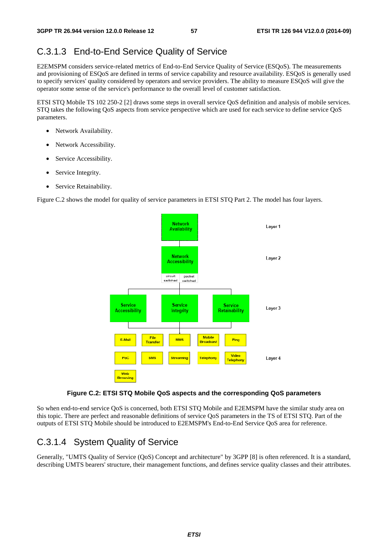# C.3.1.3 End-to-End Service Quality of Service

E2EMSPM considers service-related metrics of End-to-End Service Quality of Service (ESQoS). The measurements and provisioning of ESQoS are defined in terms of service capability and resource availability. ESQoS is generally used to specify services' quality considered by operators and service providers. The ability to measure ESQoS will give the operator some sense of the service's performance to the overall level of customer satisfaction.

ETSI STQ Mobile TS 102 250-2 [2] draws some steps in overall service QoS definition and analysis of mobile services. STQ takes the following QoS aspects from service perspective which are used for each service to define service QoS parameters.

- Network Availability.
- Network Accessibility.
- Service Accessibility.
- Service Integrity.
- Service Retainability.

Figure C.2 shows the model for quality of service parameters in ETSI STQ Part 2. The model has four layers.



### **Figure C.2: ETSI STQ Mobile QoS aspects and the corresponding QoS parameters**

So when end-to-end service QoS is concerned, both ETSI STQ Mobile and E2EMSPM have the similar study area on this topic. There are perfect and reasonable definitions of service QoS parameters in the TS of ETSI STQ. Part of the outputs of ETSI STQ Mobile should be introduced to E2EMSPM's End-to-End Service QoS area for reference.

# C.3.1.4 System Quality of Service

Generally, "UMTS Quality of Service (QoS) Concept and architecture" by 3GPP [8] is often referenced. It is a standard, describing UMTS bearers' structure, their management functions, and defines service quality classes and their attributes.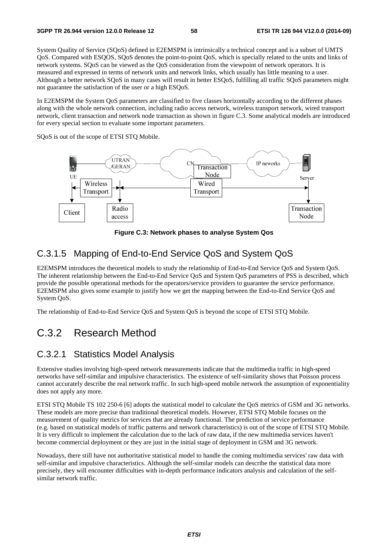System Quality of Service (SQoS) defined in E2EMSPM is intrinsically a technical concept and is a subset of UMTS QoS. Compared with ESQOS, SQoS denotes the point-to-point QoS, which is specially related to the units and links of network systems. SQoS can be viewed as the QoS consideration from the viewpoint of network operators. It is measured and expressed in terms of network units and network links, which usually has little meaning to a user. Although a better network SQoS in many cases will result in better ESQoS, fulfilling all traffic SQoS parameters might not guarantee the satisfaction of the user or a high ESQoS.

In E2EMSPM the System QoS parameters are classified to five classes horizontally according to the different phases along with the whole network connection, including radio access network, wireless transport network, wired transport network, client transaction and network node transaction as shown in figure C.3. Some analytical models are introduced for every special section to evaluate some important parameters.

SQoS is out of the scope of ETSI STQ Mobile.



**Figure C.3: Network phases to analyse System Qos** 

## C.3.1.5 Mapping of End-to-End Service QoS and System QoS

E2EMSPM introduces the theoretical models to study the relationship of End-to-End Service QoS and System QoS. The inherent relationship between the End-to-End Service QoS and System QoS parameters of PSS is described, which provide the possible operational methods for the operators/service providers to guarantee the service performance. E2EMSPM also gives some example to justify how we get the mapping between the End-to-End Service QoS and System QoS.

The relationship of End-to-End Service QoS and System QoS is beyond the scope of ETSI STQ Mobile.

# C.3.2 Research Method

### C.3.2.1 Statistics Model Analysis

Extensive studies involving high-speed network measurements indicate that the multimedia traffic in high-speed networks have self-similar and impulsive characteristics. The existence of self-similarity shows that Poisson process cannot accurately describe the real network traffic. In such high-speed mobile network the assumption of exponentiality does not apply any more.

ETSI STQ Mobile TS 102 250-6 [6] adopts the statistical model to calculate the QoS metrics of GSM and 3G networks. These models are more precise than traditional theoretical models. However, ETSI STQ Mobile focuses on the measurement of quality metrics for services that are already functional. The prediction of service performance (e.g. based on statistical models of traffic patterns and network characteristics) is out of the scope of ETSI STQ Mobile. It is very difficult to implement the calculation due to the lack of raw data, if the new multimedia services haven't become commercial deployment or they are just in the initial stage of deployment in GSM and 3G network.

Nowadays, there still have not authoritative statistical model to handle the coming multimedia services' raw data with self-similar and impulsive characteristics. Although the self-similar models can describe the statistical data more precisely, they will encounter difficulties with in-depth performance indicators analysis and calculation of the selfsimilar network traffic.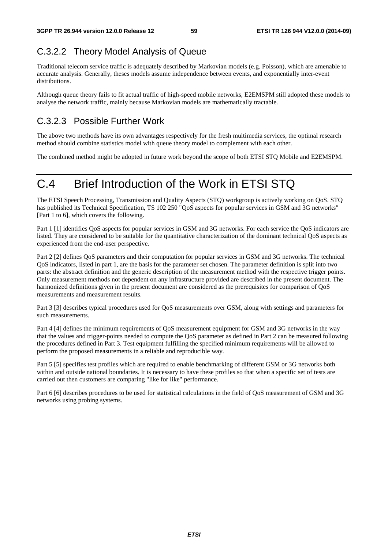# C.3.2.2 Theory Model Analysis of Queue

Traditional telecom service traffic is adequately described by Markovian models (e.g. Poisson), which are amenable to accurate analysis. Generally, theses models assume independence between events, and exponentially inter-event distributions.

Although queue theory fails to fit actual traffic of high-speed mobile networks, E2EMSPM still adopted these models to analyse the network traffic, mainly because Markovian models are mathematically tractable.

# C.3.2.3 Possible Further Work

The above two methods have its own advantages respectively for the fresh multimedia services, the optimal research method should combine statistics model with queue theory model to complement with each other.

The combined method might be adopted in future work beyond the scope of both ETSI STQ Mobile and E2EMSPM.

# C.4 Brief Introduction of the Work in ETSI STQ

The ETSI Speech Processing, Transmission and Quality Aspects (STQ) workgroup is actively working on QoS. STQ has published its Technical Specification, TS 102 250 "QoS aspects for popular services in GSM and 3G networks" [Part 1 to 6], which covers the following.

Part 1 [1] identifies QoS aspects for popular services in GSM and 3G networks. For each service the QoS indicators are listed. They are considered to be suitable for the quantitative characterization of the dominant technical QoS aspects as experienced from the end-user perspective.

Part 2 [2] defines QoS parameters and their computation for popular services in GSM and 3G networks. The technical QoS indicators, listed in part 1, are the basis for the parameter set chosen. The parameter definition is split into two parts: the abstract definition and the generic description of the measurement method with the respective trigger points. Only measurement methods not dependent on any infrastructure provided are described in the present document. The harmonized definitions given in the present document are considered as the prerequisites for comparison of QoS measurements and measurement results.

Part 3 [3] describes typical procedures used for QoS measurements over GSM, along with settings and parameters for such measurements.

Part 4 [4] defines the minimum requirements of QoS measurement equipment for GSM and 3G networks in the way that the values and trigger-points needed to compute the QoS parameter as defined in Part 2 can be measured following the procedures defined in Part 3. Test equipment fulfilling the specified minimum requirements will be allowed to perform the proposed measurements in a reliable and reproducible way.

Part 5 [5] specifies test profiles which are required to enable benchmarking of different GSM or 3G networks both within and outside national boundaries. It is necessary to have these profiles so that when a specific set of tests are carried out then customers are comparing "like for like" performance.

Part 6 [6] describes procedures to be used for statistical calculations in the field of QoS measurement of GSM and 3G networks using probing systems.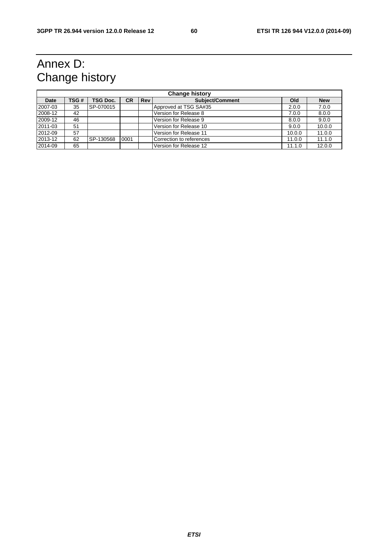# Annex D: Change history

| <b>Change history</b> |       |                 |           |     |                          |        |            |
|-----------------------|-------|-----------------|-----------|-----|--------------------------|--------|------------|
| <b>Date</b>           | TSG # | <b>TSG Doc.</b> | <b>CR</b> | Rev | Subject/Comment          | Old    | <b>New</b> |
| 2007-03               | 35    | SP-070015       |           |     | Approved at TSG SA#35    | 2.0.0  | 7.0.0      |
| 2008-12               | 42    |                 |           |     | Version for Release 8    | 7.0.0  | 8.0.0      |
| 2009-12               | 46    |                 |           |     | Version for Release 9    | 8.0.0  | 9.0.0      |
| 2011-03               | 51    |                 |           |     | Version for Release 10   | 9.0.0  | 10.0.0     |
| 2012-09               | 57    |                 |           |     | Version for Release 11   | 10.0.0 | 11.0.0     |
| 2013-12               | 62    | SP-130568       | 0001      |     | Correction to references | 11.0.0 | 11.1.0     |
| 2014-09               | 65    |                 |           |     | Version for Release 12   | 11.1.0 | 12.0.0     |